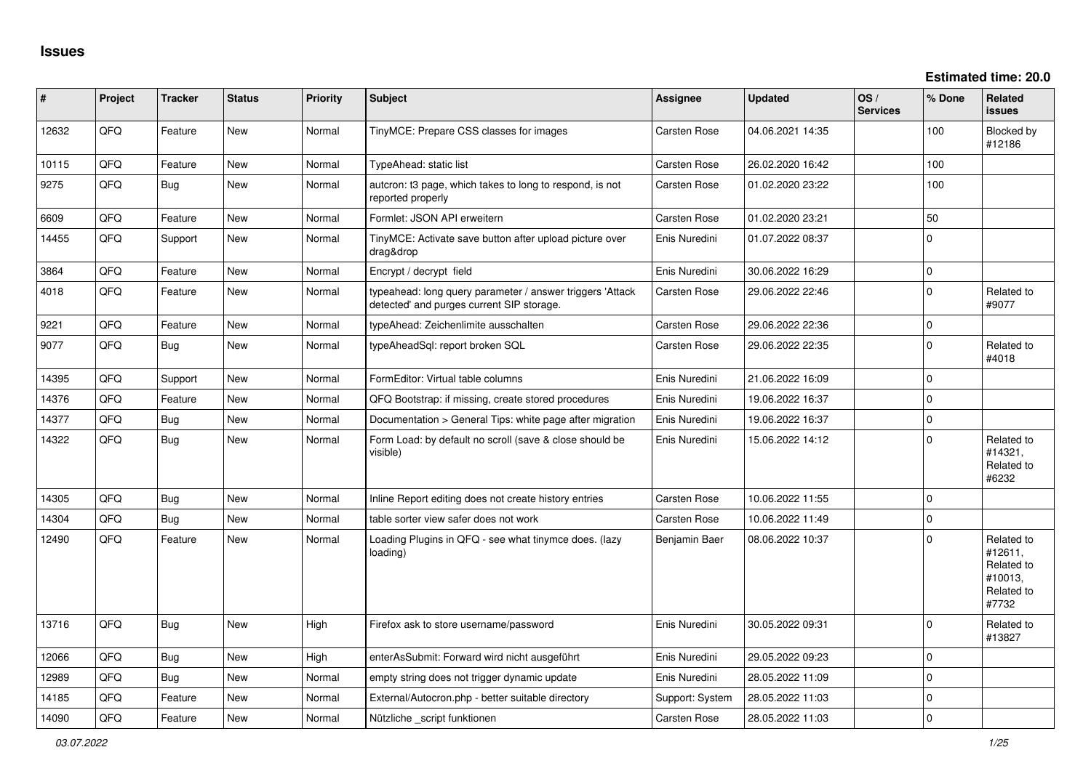**Estimated time: 20.0**

| #     | Project | <b>Tracker</b> | <b>Status</b> | <b>Priority</b> | <b>Subject</b>                                                                                         | <b>Assignee</b> | <b>Updated</b>   | OS/<br><b>Services</b> | % Done      | <b>Related</b><br><b>issues</b>                                       |
|-------|---------|----------------|---------------|-----------------|--------------------------------------------------------------------------------------------------------|-----------------|------------------|------------------------|-------------|-----------------------------------------------------------------------|
| 12632 | QFQ     | Feature        | New           | Normal          | TinyMCE: Prepare CSS classes for images                                                                | Carsten Rose    | 04.06.2021 14:35 |                        | 100         | Blocked by<br>#12186                                                  |
| 10115 | QFQ     | Feature        | <b>New</b>    | Normal          | TypeAhead: static list                                                                                 | Carsten Rose    | 26.02.2020 16:42 |                        | 100         |                                                                       |
| 9275  | QFQ     | <b>Bug</b>     | New           | Normal          | autcron: t3 page, which takes to long to respond, is not<br>reported properly                          | Carsten Rose    | 01.02.2020 23:22 |                        | 100         |                                                                       |
| 6609  | QFQ     | Feature        | <b>New</b>    | Normal          | Formlet: JSON API erweitern                                                                            | Carsten Rose    | 01.02.2020 23:21 |                        | 50          |                                                                       |
| 14455 | QFQ     | Support        | <b>New</b>    | Normal          | TinyMCE: Activate save button after upload picture over<br>drag&drop                                   | Enis Nuredini   | 01.07.2022 08:37 |                        | $\Omega$    |                                                                       |
| 3864  | QFQ     | Feature        | <b>New</b>    | Normal          | Encrypt / decrypt field                                                                                | Enis Nuredini   | 30.06.2022 16:29 |                        | $\mathbf 0$ |                                                                       |
| 4018  | QFQ     | Feature        | <b>New</b>    | Normal          | typeahead: long query parameter / answer triggers 'Attack<br>detected' and purges current SIP storage. | Carsten Rose    | 29.06.2022 22:46 |                        | $\mathbf 0$ | Related to<br>#9077                                                   |
| 9221  | QFQ     | Feature        | New           | Normal          | typeAhead: Zeichenlimite ausschalten                                                                   | Carsten Rose    | 29.06.2022 22:36 |                        | $\mathbf 0$ |                                                                       |
| 9077  | QFQ     | <b>Bug</b>     | New           | Normal          | typeAheadSql: report broken SQL                                                                        | Carsten Rose    | 29.06.2022 22:35 |                        | $\Omega$    | Related to<br>#4018                                                   |
| 14395 | QFQ     | Support        | <b>New</b>    | Normal          | FormEditor: Virtual table columns                                                                      | Enis Nuredini   | 21.06.2022 16:09 |                        | $\Omega$    |                                                                       |
| 14376 | QFQ     | Feature        | <b>New</b>    | Normal          | QFQ Bootstrap: if missing, create stored procedures                                                    | Enis Nuredini   | 19.06.2022 16:37 |                        | $\mathbf 0$ |                                                                       |
| 14377 | QFQ     | Bug            | <b>New</b>    | Normal          | Documentation > General Tips: white page after migration                                               | Enis Nuredini   | 19.06.2022 16:37 |                        | $\mathbf 0$ |                                                                       |
| 14322 | QFQ     | Bug            | <b>New</b>    | Normal          | Form Load: by default no scroll (save & close should be<br>visible)                                    | Enis Nuredini   | 15.06.2022 14:12 |                        | $\Omega$    | Related to<br>#14321,<br>Related to<br>#6232                          |
| 14305 | QFQ     | Bug            | <b>New</b>    | Normal          | Inline Report editing does not create history entries                                                  | Carsten Rose    | 10.06.2022 11:55 |                        | $\Omega$    |                                                                       |
| 14304 | QFQ     | Bug            | New           | Normal          | table sorter view safer does not work                                                                  | Carsten Rose    | 10.06.2022 11:49 |                        | $\Omega$    |                                                                       |
| 12490 | QFQ     | Feature        | New           | Normal          | Loading Plugins in QFQ - see what tinymce does. (lazy<br>loading)                                      | Benjamin Baer   | 08.06.2022 10:37 |                        | $\Omega$    | Related to<br>#12611,<br>Related to<br>#10013,<br>Related to<br>#7732 |
| 13716 | QFQ     | Bug            | <b>New</b>    | High            | Firefox ask to store username/password                                                                 | Enis Nuredini   | 30.05.2022 09:31 |                        | $\Omega$    | Related to<br>#13827                                                  |
| 12066 | QFQ     | Bug            | New           | High            | enterAsSubmit: Forward wird nicht ausgeführt                                                           | Enis Nuredini   | 29.05.2022 09:23 |                        | $\mathbf 0$ |                                                                       |
| 12989 | QFQ     | Bug            | <b>New</b>    | Normal          | empty string does not trigger dynamic update                                                           | Enis Nuredini   | 28.05.2022 11:09 |                        | $\Omega$    |                                                                       |
| 14185 | QFQ     | Feature        | <b>New</b>    | Normal          | External/Autocron.php - better suitable directory                                                      | Support: System | 28.05.2022 11:03 |                        | $\mathbf 0$ |                                                                       |
| 14090 | QFQ     | Feature        | New           | Normal          | Nützliche script funktionen                                                                            | Carsten Rose    | 28.05.2022 11:03 |                        | $\mathbf 0$ |                                                                       |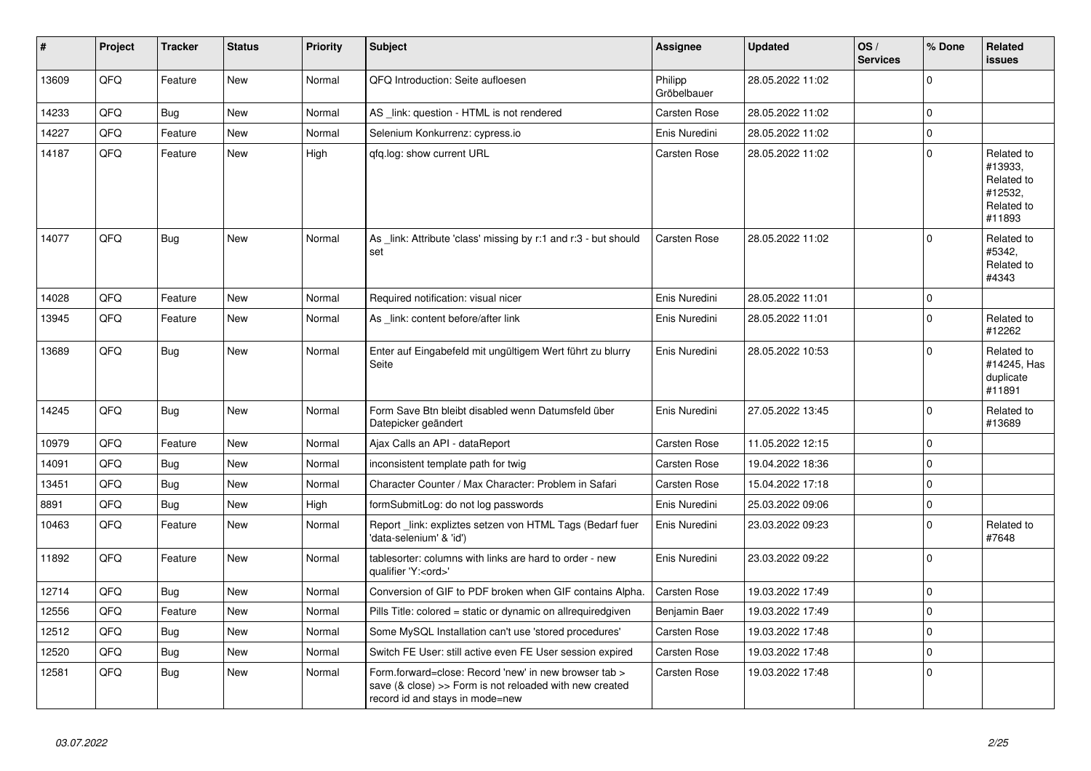| #     | Project | <b>Tracker</b> | <b>Status</b> | <b>Priority</b> | <b>Subject</b>                                                                                                                                      | <b>Assignee</b>        | <b>Updated</b>   | OS/<br><b>Services</b> | % Done         | <b>Related</b><br><b>issues</b>                                        |
|-------|---------|----------------|---------------|-----------------|-----------------------------------------------------------------------------------------------------------------------------------------------------|------------------------|------------------|------------------------|----------------|------------------------------------------------------------------------|
| 13609 | QFQ     | Feature        | <b>New</b>    | Normal          | QFQ Introduction: Seite aufloesen                                                                                                                   | Philipp<br>Gröbelbauer | 28.05.2022 11:02 |                        | $\Omega$       |                                                                        |
| 14233 | QFQ     | <b>Bug</b>     | <b>New</b>    | Normal          | AS _link: question - HTML is not rendered                                                                                                           | <b>Carsten Rose</b>    | 28.05.2022 11:02 |                        | 0              |                                                                        |
| 14227 | QFQ     | Feature        | <b>New</b>    | Normal          | Selenium Konkurrenz: cypress.io                                                                                                                     | Enis Nuredini          | 28.05.2022 11:02 |                        | $\mathbf{0}$   |                                                                        |
| 14187 | QFQ     | Feature        | <b>New</b>    | High            | gfg.log: show current URL                                                                                                                           | Carsten Rose           | 28.05.2022 11:02 |                        | $\Omega$       | Related to<br>#13933,<br>Related to<br>#12532,<br>Related to<br>#11893 |
| 14077 | QFQ     | <b>Bug</b>     | New           | Normal          | As _link: Attribute 'class' missing by r:1 and r:3 - but should<br>set                                                                              | <b>Carsten Rose</b>    | 28.05.2022 11:02 |                        | $\Omega$       | Related to<br>#5342,<br>Related to<br>#4343                            |
| 14028 | QFQ     | Feature        | <b>New</b>    | Normal          | Required notification: visual nicer                                                                                                                 | Enis Nuredini          | 28.05.2022 11:01 |                        | $\mathbf{0}$   |                                                                        |
| 13945 | QFQ     | Feature        | <b>New</b>    | Normal          | As _link: content before/after link                                                                                                                 | Enis Nuredini          | 28.05.2022 11:01 |                        | $\mathbf 0$    | Related to<br>#12262                                                   |
| 13689 | QFQ     | <b>Bug</b>     | <b>New</b>    | Normal          | Enter auf Eingabefeld mit ungültigem Wert führt zu blurry<br>Seite                                                                                  | Enis Nuredini          | 28.05.2022 10:53 |                        | 0              | Related to<br>#14245, Has<br>duplicate<br>#11891                       |
| 14245 | QFQ     | <b>Bug</b>     | <b>New</b>    | Normal          | Form Save Btn bleibt disabled wenn Datumsfeld über<br>Datepicker geändert                                                                           | Enis Nuredini          | 27.05.2022 13:45 |                        | $\Omega$       | Related to<br>#13689                                                   |
| 10979 | QFQ     | Feature        | <b>New</b>    | Normal          | Ajax Calls an API - dataReport                                                                                                                      | Carsten Rose           | 11.05.2022 12:15 |                        | $\mathbf 0$    |                                                                        |
| 14091 | QFQ     | Bug            | <b>New</b>    | Normal          | inconsistent template path for twig                                                                                                                 | <b>Carsten Rose</b>    | 19.04.2022 18:36 |                        | $\Omega$       |                                                                        |
| 13451 | QFQ     | Bug            | <b>New</b>    | Normal          | Character Counter / Max Character: Problem in Safari                                                                                                | Carsten Rose           | 15.04.2022 17:18 |                        | $\mathbf{0}$   |                                                                        |
| 8891  | QFQ     | Bug            | New           | High            | formSubmitLog: do not log passwords                                                                                                                 | Enis Nuredini          | 25.03.2022 09:06 |                        | $\mathbf 0$    |                                                                        |
| 10463 | QFQ     | Feature        | <b>New</b>    | Normal          | Report link: expliztes setzen von HTML Tags (Bedarf fuer<br>'data-selenium' & 'id')                                                                 | Enis Nuredini          | 23.03.2022 09:23 |                        | $\mathbf{0}$   | Related to<br>#7648                                                    |
| 11892 | QFQ     | Feature        | <b>New</b>    | Normal          | tablesorter: columns with links are hard to order - new<br>qualifier 'Y: <ord>'</ord>                                                               | Enis Nuredini          | 23.03.2022 09:22 |                        | $\Omega$       |                                                                        |
| 12714 | QFQ     | Bug            | <b>New</b>    | Normal          | Conversion of GIF to PDF broken when GIF contains Alpha.                                                                                            | <b>Carsten Rose</b>    | 19.03.2022 17:49 |                        | $\mathbf 0$    |                                                                        |
| 12556 | QFQ     | Feature        | <b>New</b>    | Normal          | Pills Title: colored = static or dynamic on allrequiredgiven                                                                                        | Benjamin Baer          | 19.03.2022 17:49 |                        | $\overline{0}$ |                                                                        |
| 12512 | QFQ     | Bug            | <b>New</b>    | Normal          | Some MySQL Installation can't use 'stored procedures'                                                                                               | <b>Carsten Rose</b>    | 19.03.2022 17:48 |                        | $\overline{0}$ |                                                                        |
| 12520 | QFQ     | Bug            | <b>New</b>    | Normal          | Switch FE User: still active even FE User session expired                                                                                           | <b>Carsten Rose</b>    | 19.03.2022 17:48 |                        | 0              |                                                                        |
| 12581 | QFQ     | <b>Bug</b>     | <b>New</b>    | Normal          | Form.forward=close: Record 'new' in new browser tab ><br>save (& close) >> Form is not reloaded with new created<br>record id and stays in mode=new | Carsten Rose           | 19.03.2022 17:48 |                        | $\Omega$       |                                                                        |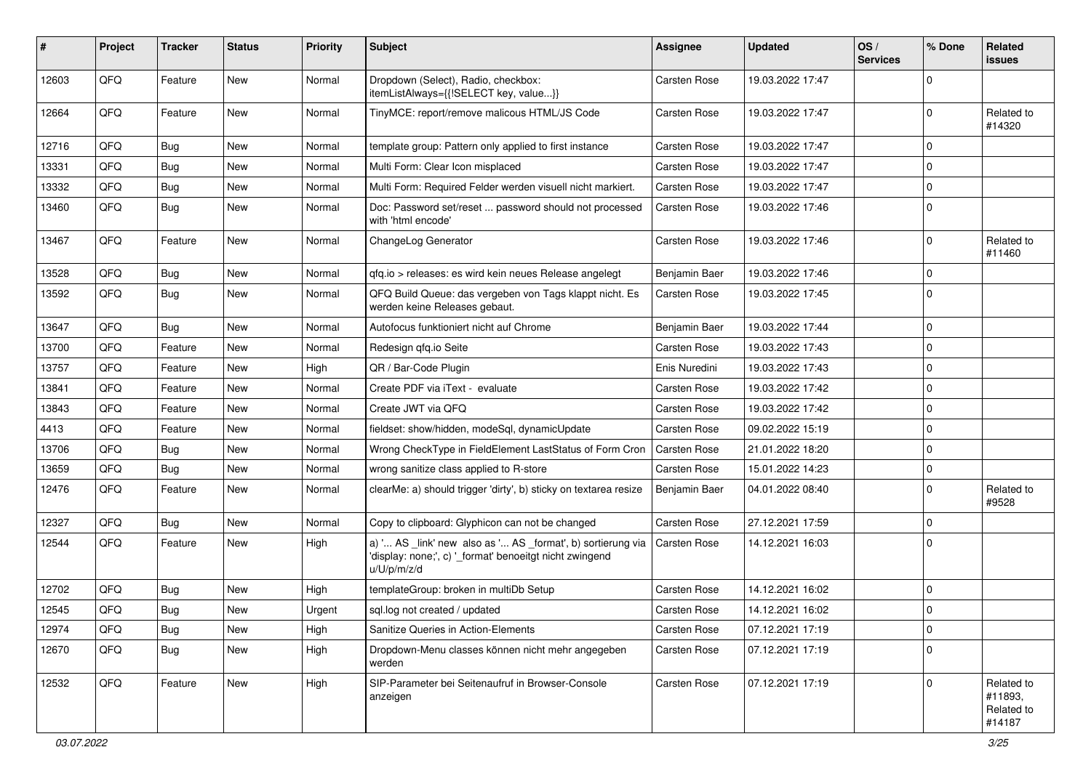| #     | Project | <b>Tracker</b> | <b>Status</b> | <b>Priority</b> | Subject                                                                                                                               | Assignee            | <b>Updated</b>   | OS/<br><b>Services</b> | % Done      | Related<br><b>issues</b>                      |
|-------|---------|----------------|---------------|-----------------|---------------------------------------------------------------------------------------------------------------------------------------|---------------------|------------------|------------------------|-------------|-----------------------------------------------|
| 12603 | QFQ     | Feature        | New           | Normal          | Dropdown (Select), Radio, checkbox:<br>itemListAlways={{!SELECT key, value}}                                                          | <b>Carsten Rose</b> | 19.03.2022 17:47 |                        | $\mathbf 0$ |                                               |
| 12664 | QFQ     | Feature        | New           | Normal          | TinyMCE: report/remove malicous HTML/JS Code                                                                                          | <b>Carsten Rose</b> | 19.03.2022 17:47 |                        | 0           | Related to<br>#14320                          |
| 12716 | QFQ     | Bug            | <b>New</b>    | Normal          | template group: Pattern only applied to first instance                                                                                | Carsten Rose        | 19.03.2022 17:47 |                        | 0           |                                               |
| 13331 | QFQ     | Bug            | <b>New</b>    | Normal          | Multi Form: Clear Icon misplaced                                                                                                      | <b>Carsten Rose</b> | 19.03.2022 17:47 |                        | $\Omega$    |                                               |
| 13332 | QFQ     | <b>Bug</b>     | New           | Normal          | Multi Form: Required Felder werden visuell nicht markiert.                                                                            | <b>Carsten Rose</b> | 19.03.2022 17:47 |                        | $\mathbf 0$ |                                               |
| 13460 | QFQ     | <b>Bug</b>     | <b>New</b>    | Normal          | Doc: Password set/reset  password should not processed<br>with 'html encode'                                                          | Carsten Rose        | 19.03.2022 17:46 |                        | $\Omega$    |                                               |
| 13467 | QFQ     | Feature        | <b>New</b>    | Normal          | ChangeLog Generator                                                                                                                   | <b>Carsten Rose</b> | 19.03.2022 17:46 |                        | $\mathbf 0$ | Related to<br>#11460                          |
| 13528 | QFQ     | Bug            | <b>New</b>    | Normal          | qfq.io > releases: es wird kein neues Release angelegt                                                                                | Benjamin Baer       | 19.03.2022 17:46 |                        | 0           |                                               |
| 13592 | QFQ     | Bug            | New           | Normal          | QFQ Build Queue: das vergeben von Tags klappt nicht. Es<br>werden keine Releases gebaut.                                              | Carsten Rose        | 19.03.2022 17:45 |                        | 0           |                                               |
| 13647 | QFQ     | Bug            | <b>New</b>    | Normal          | Autofocus funktioniert nicht auf Chrome                                                                                               | Benjamin Baer       | 19.03.2022 17:44 |                        | $\mathbf 0$ |                                               |
| 13700 | QFQ     | Feature        | <b>New</b>    | Normal          | Redesign qfq.io Seite                                                                                                                 | Carsten Rose        | 19.03.2022 17:43 |                        | 0           |                                               |
| 13757 | QFQ     | Feature        | <b>New</b>    | High            | QR / Bar-Code Plugin                                                                                                                  | Enis Nuredini       | 19.03.2022 17:43 |                        | 0           |                                               |
| 13841 | QFQ     | Feature        | New           | Normal          | Create PDF via iText - evaluate                                                                                                       | Carsten Rose        | 19.03.2022 17:42 |                        | $\mathbf 0$ |                                               |
| 13843 | QFQ     | Feature        | New           | Normal          | Create JWT via QFQ                                                                                                                    | Carsten Rose        | 19.03.2022 17:42 |                        | 0           |                                               |
| 4413  | QFQ     | Feature        | <b>New</b>    | Normal          | fieldset: show/hidden, modeSql, dynamicUpdate                                                                                         | <b>Carsten Rose</b> | 09.02.2022 15:19 |                        | 0           |                                               |
| 13706 | QFQ     | <b>Bug</b>     | New           | Normal          | Wrong CheckType in FieldElement LastStatus of Form Cron                                                                               | <b>Carsten Rose</b> | 21.01.2022 18:20 |                        | 0           |                                               |
| 13659 | QFQ     | Bug            | New           | Normal          | wrong sanitize class applied to R-store                                                                                               | <b>Carsten Rose</b> | 15.01.2022 14:23 |                        | 0           |                                               |
| 12476 | QFQ     | Feature        | <b>New</b>    | Normal          | clearMe: a) should trigger 'dirty', b) sticky on textarea resize                                                                      | Benjamin Baer       | 04.01.2022 08:40 |                        | 0           | Related to<br>#9528                           |
| 12327 | QFQ     | Bug            | New           | Normal          | Copy to clipboard: Glyphicon can not be changed                                                                                       | <b>Carsten Rose</b> | 27.12.2021 17:59 |                        | 0           |                                               |
| 12544 | QFQ     | Feature        | <b>New</b>    | High            | a) ' AS _link' new also as ' AS _format', b) sortierung via<br>'display: none;', c) '_format' benoeitgt nicht zwingend<br>u/U/p/m/z/d | <b>Carsten Rose</b> | 14.12.2021 16:03 |                        | 0           |                                               |
| 12702 | QFQ     | Bug            | New           | High            | templateGroup: broken in multiDb Setup                                                                                                | Carsten Rose        | 14.12.2021 16:02 |                        | 0           |                                               |
| 12545 | QFQ     | Bug            | <b>New</b>    | Urgent          | sql.log not created / updated                                                                                                         | <b>Carsten Rose</b> | 14.12.2021 16:02 |                        | $\mathbf 0$ |                                               |
| 12974 | QFQ     | <b>Bug</b>     | <b>New</b>    | High            | Sanitize Queries in Action-Elements                                                                                                   | Carsten Rose        | 07.12.2021 17:19 |                        | $\mathbf 0$ |                                               |
| 12670 | QFQ     | <b>Bug</b>     | New           | High            | Dropdown-Menu classes können nicht mehr angegeben<br>werden                                                                           | Carsten Rose        | 07.12.2021 17:19 |                        | $\mathbf 0$ |                                               |
| 12532 | QFQ     | Feature        | New           | High            | SIP-Parameter bei Seitenaufruf in Browser-Console<br>anzeigen                                                                         | Carsten Rose        | 07.12.2021 17:19 |                        | $\mathbf 0$ | Related to<br>#11893,<br>Related to<br>#14187 |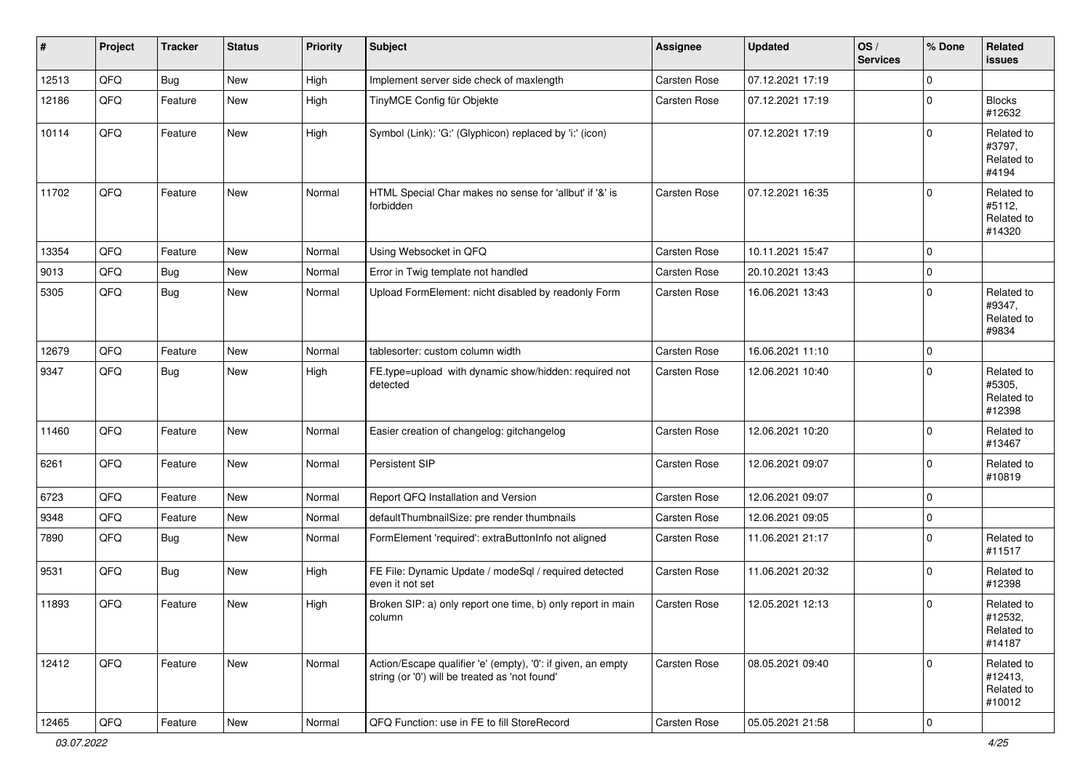| $\vert$ # | Project | <b>Tracker</b> | <b>Status</b> | <b>Priority</b> | <b>Subject</b>                                                                                                 | Assignee            | <b>Updated</b>   | OS/<br><b>Services</b> | % Done      | Related<br><b>issues</b>                      |
|-----------|---------|----------------|---------------|-----------------|----------------------------------------------------------------------------------------------------------------|---------------------|------------------|------------------------|-------------|-----------------------------------------------|
| 12513     | QFQ     | Bug            | New           | High            | Implement server side check of maxlength                                                                       | <b>Carsten Rose</b> | 07.12.2021 17:19 |                        | 0           |                                               |
| 12186     | QFQ     | Feature        | <b>New</b>    | High            | TinyMCE Config für Objekte                                                                                     | <b>Carsten Rose</b> | 07.12.2021 17:19 |                        | 0           | <b>Blocks</b><br>#12632                       |
| 10114     | QFQ     | Feature        | New           | High            | Symbol (Link): 'G:' (Glyphicon) replaced by 'i:' (icon)                                                        |                     | 07.12.2021 17:19 |                        | $\Omega$    | Related to<br>#3797,<br>Related to<br>#4194   |
| 11702     | QFQ     | Feature        | <b>New</b>    | Normal          | HTML Special Char makes no sense for 'allbut' if '&' is<br>forbidden                                           | <b>Carsten Rose</b> | 07.12.2021 16:35 |                        | $\Omega$    | Related to<br>#5112,<br>Related to<br>#14320  |
| 13354     | QFQ     | Feature        | <b>New</b>    | Normal          | Using Websocket in QFQ                                                                                         | <b>Carsten Rose</b> | 10.11.2021 15:47 |                        | $\mathbf 0$ |                                               |
| 9013      | QFQ     | <b>Bug</b>     | New           | Normal          | Error in Twig template not handled                                                                             | Carsten Rose        | 20.10.2021 13:43 |                        | $\mathbf 0$ |                                               |
| 5305      | QFQ     | Bug            | New           | Normal          | Upload FormElement: nicht disabled by readonly Form                                                            | Carsten Rose        | 16.06.2021 13:43 |                        | $\mathbf 0$ | Related to<br>#9347,<br>Related to<br>#9834   |
| 12679     | QFQ     | Feature        | <b>New</b>    | Normal          | tablesorter: custom column width                                                                               | <b>Carsten Rose</b> | 16.06.2021 11:10 |                        | $\mathbf 0$ |                                               |
| 9347      | QFQ     | Bug            | <b>New</b>    | High            | FE.type=upload with dynamic show/hidden: required not<br>detected                                              | <b>Carsten Rose</b> | 12.06.2021 10:40 |                        | 0           | Related to<br>#5305,<br>Related to<br>#12398  |
| 11460     | QFQ     | Feature        | <b>New</b>    | Normal          | Easier creation of changelog: gitchangelog                                                                     | <b>Carsten Rose</b> | 12.06.2021 10:20 |                        | 0           | Related to<br>#13467                          |
| 6261      | QFQ     | Feature        | New           | Normal          | Persistent SIP                                                                                                 | Carsten Rose        | 12.06.2021 09:07 |                        | 0           | Related to<br>#10819                          |
| 6723      | QFQ     | Feature        | New           | Normal          | Report QFQ Installation and Version                                                                            | <b>Carsten Rose</b> | 12.06.2021 09:07 |                        | 0           |                                               |
| 9348      | QFQ     | Feature        | New           | Normal          | defaultThumbnailSize: pre render thumbnails                                                                    | Carsten Rose        | 12.06.2021 09:05 |                        | $\mathbf 0$ |                                               |
| 7890      | QFQ     | Bug            | New           | Normal          | FormElement 'required': extraButtonInfo not aligned                                                            | Carsten Rose        | 11.06.2021 21:17 |                        | 0           | Related to<br>#11517                          |
| 9531      | QFQ     | <b>Bug</b>     | New           | High            | FE File: Dynamic Update / modeSql / required detected<br>even it not set                                       | Carsten Rose        | 11.06.2021 20:32 |                        | $\Omega$    | Related to<br>#12398                          |
| 11893     | QFQ     | Feature        | New           | High            | Broken SIP: a) only report one time, b) only report in main<br>column                                          | Carsten Rose        | 12.05.2021 12:13 |                        | 0           | Related to<br>#12532,<br>Related to<br>#14187 |
| 12412     | QFQ     | Feature        | New           | Normal          | Action/Escape qualifier 'e' (empty), '0': if given, an empty<br>string (or '0') will be treated as 'not found' | <b>Carsten Rose</b> | 08.05.2021 09:40 |                        | $\Omega$    | Related to<br>#12413,<br>Related to<br>#10012 |
| 12465     | QFG     | Feature        | New           | Normal          | QFQ Function: use in FE to fill StoreRecord                                                                    | Carsten Rose        | 05.05.2021 21:58 |                        | $\mathbf 0$ |                                               |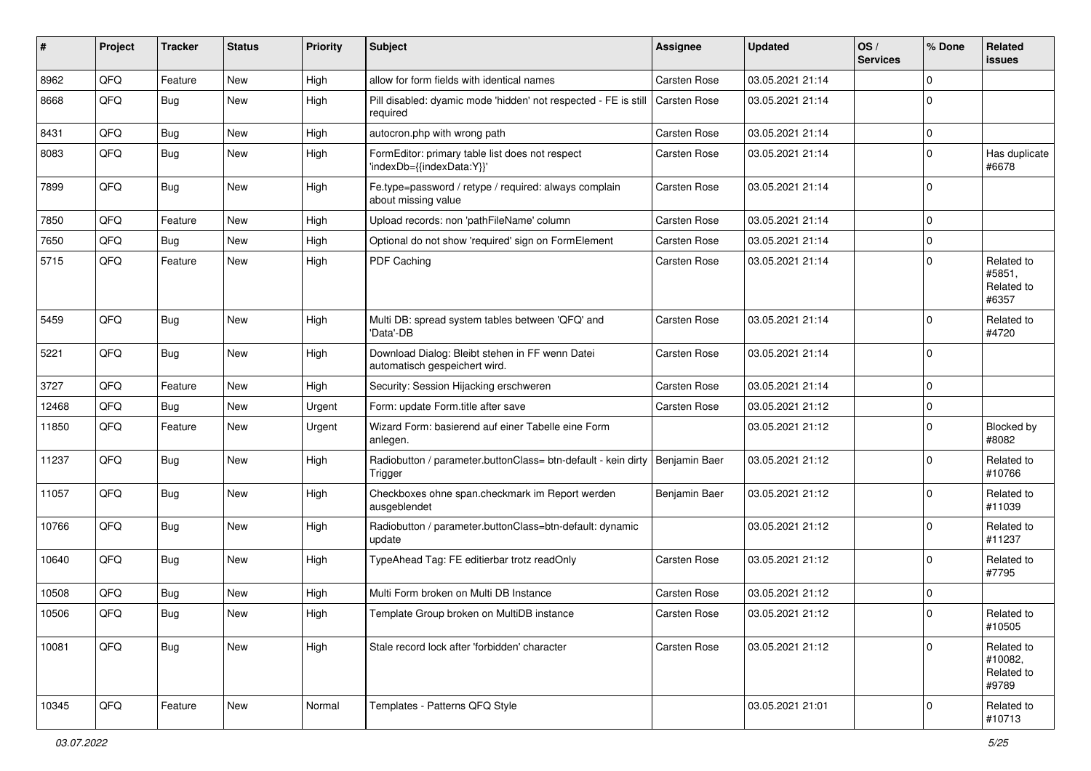| #     | Project | <b>Tracker</b> | <b>Status</b> | <b>Priority</b> | <b>Subject</b>                                                                   | Assignee            | <b>Updated</b>   | OS/<br><b>Services</b> | % Done      | <b>Related</b><br><b>issues</b>              |
|-------|---------|----------------|---------------|-----------------|----------------------------------------------------------------------------------|---------------------|------------------|------------------------|-------------|----------------------------------------------|
| 8962  | QFQ     | Feature        | <b>New</b>    | High            | allow for form fields with identical names                                       | <b>Carsten Rose</b> | 03.05.2021 21:14 |                        | 0           |                                              |
| 8668  | QFQ     | Bug            | <b>New</b>    | High            | Pill disabled: dyamic mode 'hidden' not respected - FE is still<br>required      | Carsten Rose        | 03.05.2021 21:14 |                        | 0           |                                              |
| 8431  | QFQ     | Bug            | New           | High            | autocron.php with wrong path                                                     | Carsten Rose        | 03.05.2021 21:14 |                        | 0           |                                              |
| 8083  | QFQ     | <b>Bug</b>     | <b>New</b>    | High            | FormEditor: primary table list does not respect<br>'indexDb={{indexData:Y}}'     | Carsten Rose        | 03.05.2021 21:14 |                        | 0           | Has duplicate<br>#6678                       |
| 7899  | QFQ     | Bug            | New           | High            | Fe.type=password / retype / required: always complain<br>about missing value     | <b>Carsten Rose</b> | 03.05.2021 21:14 |                        | $\mathbf 0$ |                                              |
| 7850  | QFQ     | Feature        | New           | High            | Upload records: non 'pathFileName' column                                        | Carsten Rose        | 03.05.2021 21:14 |                        | 0           |                                              |
| 7650  | QFQ     | Bug            | <b>New</b>    | High            | Optional do not show 'required' sign on FormElement                              | Carsten Rose        | 03.05.2021 21:14 |                        | 0           |                                              |
| 5715  | QFQ     | Feature        | <b>New</b>    | High            | PDF Caching                                                                      | Carsten Rose        | 03.05.2021 21:14 |                        | 0           | Related to<br>#5851.<br>Related to<br>#6357  |
| 5459  | QFQ     | <b>Bug</b>     | New           | High            | Multi DB: spread system tables between 'QFQ' and<br>'Data'-DB                    | Carsten Rose        | 03.05.2021 21:14 |                        | $\Omega$    | Related to<br>#4720                          |
| 5221  | QFQ     | Bug            | <b>New</b>    | High            | Download Dialog: Bleibt stehen in FF wenn Datei<br>automatisch gespeichert wird. | Carsten Rose        | 03.05.2021 21:14 |                        | $\Omega$    |                                              |
| 3727  | QFQ     | Feature        | <b>New</b>    | High            | Security: Session Hijacking erschweren                                           | Carsten Rose        | 03.05.2021 21:14 |                        | 0           |                                              |
| 12468 | QFQ     | Bug            | <b>New</b>    | Urgent          | Form: update Form.title after save                                               | Carsten Rose        | 03.05.2021 21:12 |                        | 0           |                                              |
| 11850 | QFQ     | Feature        | <b>New</b>    | Urgent          | Wizard Form: basierend auf einer Tabelle eine Form<br>anlegen.                   |                     | 03.05.2021 21:12 |                        | 0           | Blocked by<br>#8082                          |
| 11237 | QFQ     | Bug            | <b>New</b>    | High            | Radiobutton / parameter.buttonClass= btn-default - kein dirty<br>Trigger         | Benjamin Baer       | 03.05.2021 21:12 |                        | 0           | Related to<br>#10766                         |
| 11057 | QFQ     | Bug            | <b>New</b>    | High            | Checkboxes ohne span.checkmark im Report werden<br>ausgeblendet                  | Benjamin Baer       | 03.05.2021 21:12 |                        | $\Omega$    | Related to<br>#11039                         |
| 10766 | QFQ     | <b>Bug</b>     | <b>New</b>    | High            | Radiobutton / parameter.buttonClass=btn-default: dynamic<br>update               |                     | 03.05.2021 21:12 |                        | 0           | Related to<br>#11237                         |
| 10640 | QFQ     | Bug            | <b>New</b>    | High            | TypeAhead Tag: FE editierbar trotz readOnly                                      | Carsten Rose        | 03.05.2021 21:12 |                        | $\mathbf 0$ | Related to<br>#7795                          |
| 10508 | QFQ     | <b>Bug</b>     | New           | High            | Multi Form broken on Multi DB Instance                                           | Carsten Rose        | 03.05.2021 21:12 |                        | 0           |                                              |
| 10506 | QFQ     | Bug            | <b>New</b>    | High            | Template Group broken on MultiDB instance                                        | Carsten Rose        | 03.05.2021 21:12 |                        | $\Omega$    | Related to<br>#10505                         |
| 10081 | QFQ     | Bug            | New           | High            | Stale record lock after 'forbidden' character                                    | Carsten Rose        | 03.05.2021 21:12 |                        | $\mathbf 0$ | Related to<br>#10082,<br>Related to<br>#9789 |
| 10345 | QFQ     | Feature        | New           | Normal          | Templates - Patterns QFQ Style                                                   |                     | 03.05.2021 21:01 |                        | 0           | Related to<br>#10713                         |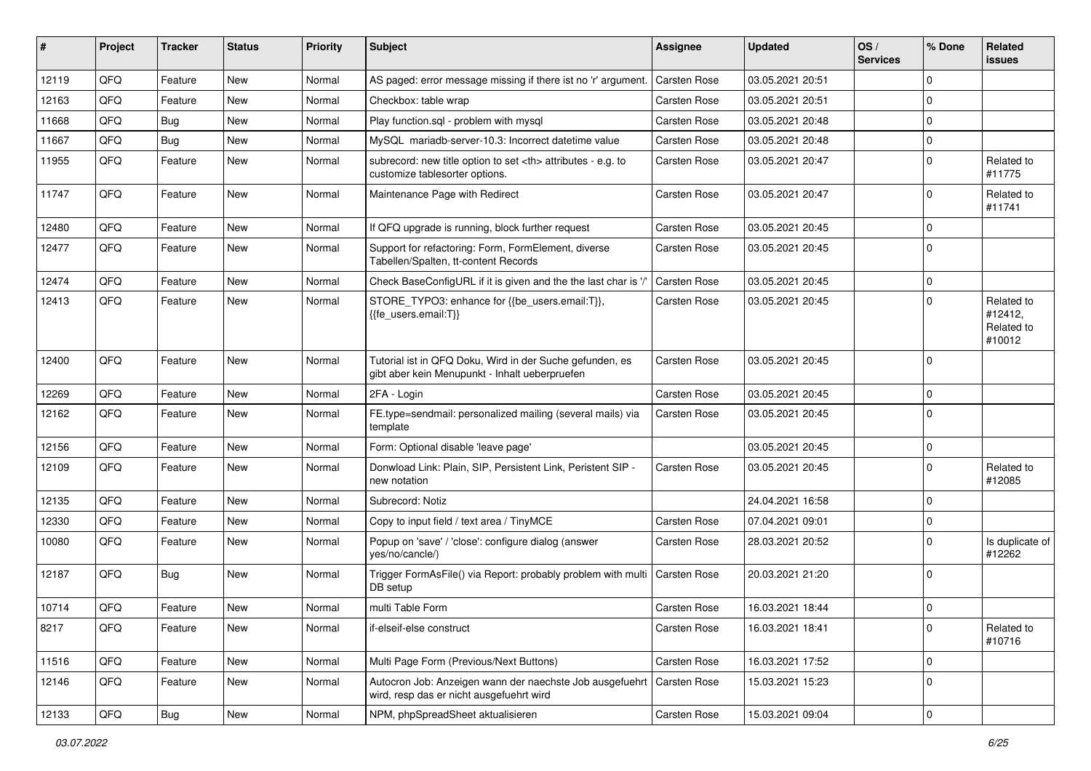| ∦     | Project | <b>Tracker</b> | <b>Status</b> | <b>Priority</b> | <b>Subject</b>                                                                                             | <b>Assignee</b>                                        | <b>Updated</b>   | OS/<br><b>Services</b> | % Done      | Related<br><b>issues</b>                      |                      |
|-------|---------|----------------|---------------|-----------------|------------------------------------------------------------------------------------------------------------|--------------------------------------------------------|------------------|------------------------|-------------|-----------------------------------------------|----------------------|
| 12119 | QFQ     | Feature        | New           | Normal          | AS paged: error message missing if there ist no 'r' argument.                                              | Carsten Rose                                           | 03.05.2021 20:51 |                        | $\mathbf 0$ |                                               |                      |
| 12163 | QFQ     | Feature        | New           | Normal          | Checkbox: table wrap                                                                                       | Carsten Rose                                           | 03.05.2021 20:51 |                        | 0           |                                               |                      |
| 11668 | QFQ     | <b>Bug</b>     | <b>New</b>    | Normal          | Play function.sql - problem with mysql                                                                     | Carsten Rose                                           | 03.05.2021 20:48 |                        | $\mathbf 0$ |                                               |                      |
| 11667 | QFQ     | Bug            | New           | Normal          | MySQL mariadb-server-10.3: Incorrect datetime value                                                        | Carsten Rose                                           | 03.05.2021 20:48 |                        | $\mathbf 0$ |                                               |                      |
| 11955 | QFQ     | Feature        | New           | Normal          | subrecord: new title option to set <th> attributes - e.g. to<br/>customize tablesorter options.</th>       | attributes - e.g. to<br>customize tablesorter options. | Carsten Rose     | 03.05.2021 20:47       |             | $\mathbf 0$                                   | Related to<br>#11775 |
| 11747 | QFQ     | Feature        | <b>New</b>    | Normal          | Maintenance Page with Redirect                                                                             | Carsten Rose                                           | 03.05.2021 20:47 |                        | $\mathbf 0$ | Related to<br>#11741                          |                      |
| 12480 | QFQ     | Feature        | <b>New</b>    | Normal          | If QFQ upgrade is running, block further request                                                           | <b>Carsten Rose</b>                                    | 03.05.2021 20:45 |                        | $\mathbf 0$ |                                               |                      |
| 12477 | QFQ     | Feature        | New           | Normal          | Support for refactoring: Form, FormElement, diverse<br>Tabellen/Spalten, tt-content Records                | Carsten Rose                                           | 03.05.2021 20:45 |                        | 0           |                                               |                      |
| 12474 | QFQ     | Feature        | <b>New</b>    | Normal          | Check BaseConfigURL if it is given and the the last char is '/'                                            | Carsten Rose                                           | 03.05.2021 20:45 |                        | $\mathbf 0$ |                                               |                      |
| 12413 | QFQ     | Feature        | New           | Normal          | STORE_TYPO3: enhance for {{be_users.email:T}},<br>{fe_users.email:T}}                                      | Carsten Rose                                           | 03.05.2021 20:45 |                        | 0           | Related to<br>#12412,<br>Related to<br>#10012 |                      |
| 12400 | QFQ     | Feature        | New           | Normal          | Tutorial ist in QFQ Doku, Wird in der Suche gefunden, es<br>gibt aber kein Menupunkt - Inhalt ueberpruefen | <b>Carsten Rose</b>                                    | 03.05.2021 20:45 |                        | $\mathbf 0$ |                                               |                      |
| 12269 | QFQ     | Feature        | <b>New</b>    | Normal          | 2FA - Login                                                                                                | Carsten Rose                                           | 03.05.2021 20:45 |                        | 0           |                                               |                      |
| 12162 | QFQ     | Feature        | <b>New</b>    | Normal          | FE.type=sendmail: personalized mailing (several mails) via<br>template                                     | <b>Carsten Rose</b>                                    | 03.05.2021 20:45 |                        | $\mathbf 0$ |                                               |                      |
| 12156 | QFQ     | Feature        | <b>New</b>    | Normal          | Form: Optional disable 'leave page'                                                                        |                                                        | 03.05.2021 20:45 |                        | 0           |                                               |                      |
| 12109 | QFQ     | Feature        | <b>New</b>    | Normal          | Donwload Link: Plain, SIP, Persistent Link, Peristent SIP -<br>new notation                                | Carsten Rose                                           | 03.05.2021 20:45 |                        | $\Omega$    | Related to<br>#12085                          |                      |
| 12135 | QFQ     | Feature        | <b>New</b>    | Normal          | Subrecord: Notiz                                                                                           |                                                        | 24.04.2021 16:58 |                        | $\mathbf 0$ |                                               |                      |
| 12330 | QFQ     | Feature        | <b>New</b>    | Normal          | Copy to input field / text area / TinyMCE                                                                  | <b>Carsten Rose</b>                                    | 07.04.2021 09:01 |                        | 0           |                                               |                      |
| 10080 | QFQ     | Feature        | New           | Normal          | Popup on 'save' / 'close': configure dialog (answer<br>yes/no/cancle/)                                     | Carsten Rose                                           | 28.03.2021 20:52 |                        | $\Omega$    | Is duplicate of<br>#12262                     |                      |
| 12187 | QFQ     | Bug            | <b>New</b>    | Normal          | Trigger FormAsFile() via Report: probably problem with multi<br>DB setup                                   | <b>Carsten Rose</b>                                    | 20.03.2021 21:20 |                        | $\mathbf 0$ |                                               |                      |
| 10714 | QFQ     | Feature        | New           | Normal          | multi Table Form                                                                                           | <b>Carsten Rose</b>                                    | 16.03.2021 18:44 |                        | 0           |                                               |                      |
| 8217  | QFQ     | Feature        | New           | Normal          | if-elseif-else construct                                                                                   | Carsten Rose                                           | 16.03.2021 18:41 |                        | $\mathbf 0$ | Related to<br>#10716                          |                      |
| 11516 | QFO     | Feature        | New           | Normal          | Multi Page Form (Previous/Next Buttons)                                                                    | Carsten Rose                                           | 16.03.2021 17:52 |                        | $\mathbf 0$ |                                               |                      |
| 12146 | QFQ     | Feature        | New           | Normal          | Autocron Job: Anzeigen wann der naechste Job ausgefuehrt<br>wird, resp das er nicht ausgefuehrt wird       | Carsten Rose                                           | 15.03.2021 15:23 |                        | $\mathbf 0$ |                                               |                      |
| 12133 | QFG     | Bug            | New           | Normal          | NPM, phpSpreadSheet aktualisieren                                                                          | Carsten Rose                                           | 15.03.2021 09:04 |                        | $\pmb{0}$   |                                               |                      |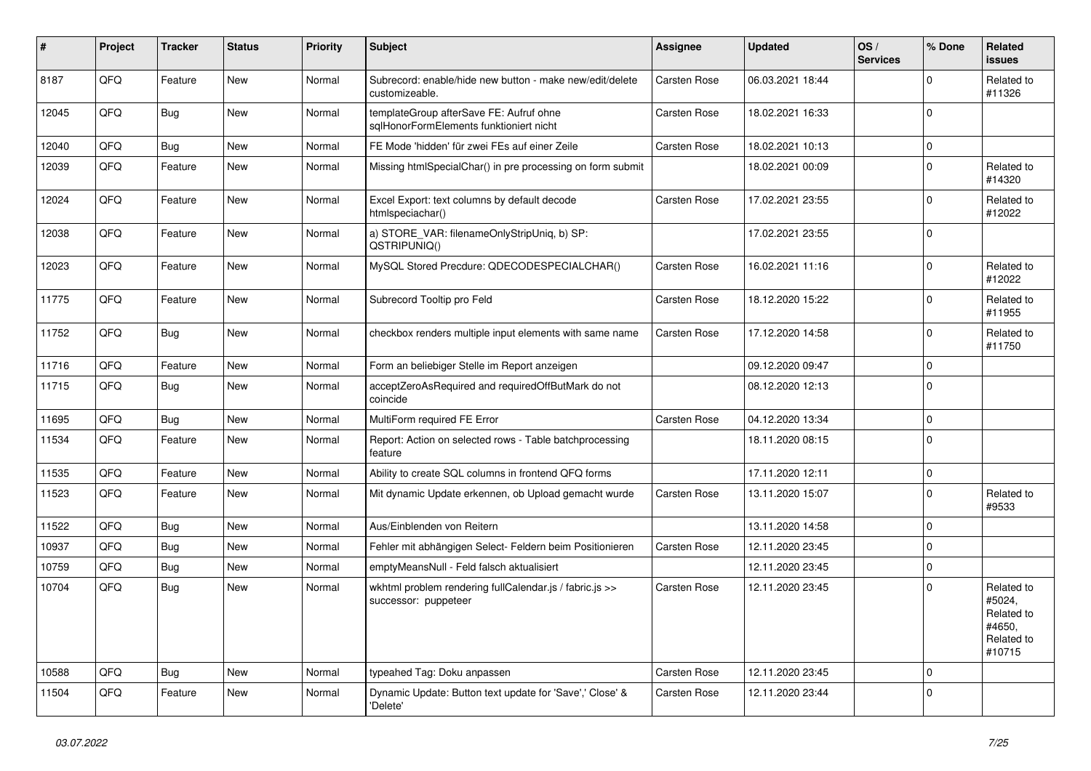| #     | Project | <b>Tracker</b> | <b>Status</b> | <b>Priority</b> | <b>Subject</b>                                                                     | Assignee            | <b>Updated</b>   | OS/<br><b>Services</b> | % Done       | Related<br><b>issues</b>                                             |
|-------|---------|----------------|---------------|-----------------|------------------------------------------------------------------------------------|---------------------|------------------|------------------------|--------------|----------------------------------------------------------------------|
| 8187  | QFQ     | Feature        | New           | Normal          | Subrecord: enable/hide new button - make new/edit/delete<br>customizeable.         | Carsten Rose        | 06.03.2021 18:44 |                        | $\Omega$     | Related to<br>#11326                                                 |
| 12045 | QFQ     | Bug            | <b>New</b>    | Normal          | templateGroup afterSave FE: Aufruf ohne<br>sqlHonorFormElements funktioniert nicht | <b>Carsten Rose</b> | 18.02.2021 16:33 |                        | 0            |                                                                      |
| 12040 | QFQ     | Bug            | <b>New</b>    | Normal          | FE Mode 'hidden' für zwei FEs auf einer Zeile                                      | Carsten Rose        | 18.02.2021 10:13 |                        | $\Omega$     |                                                                      |
| 12039 | QFQ     | Feature        | <b>New</b>    | Normal          | Missing htmlSpecialChar() in pre processing on form submit                         |                     | 18.02.2021 00:09 |                        | $\Omega$     | Related to<br>#14320                                                 |
| 12024 | QFQ     | Feature        | <b>New</b>    | Normal          | Excel Export: text columns by default decode<br>htmlspeciachar()                   | Carsten Rose        | 17.02.2021 23:55 |                        | $\Omega$     | Related to<br>#12022                                                 |
| 12038 | QFQ     | Feature        | New           | Normal          | a) STORE_VAR: filenameOnlyStripUniq, b) SP:<br>QSTRIPUNIQ()                        |                     | 17.02.2021 23:55 |                        | $\mathbf 0$  |                                                                      |
| 12023 | QFQ     | Feature        | <b>New</b>    | Normal          | MySQL Stored Precdure: QDECODESPECIALCHAR()                                        | Carsten Rose        | 16.02.2021 11:16 |                        | 0            | Related to<br>#12022                                                 |
| 11775 | QFQ     | Feature        | <b>New</b>    | Normal          | Subrecord Tooltip pro Feld                                                         | Carsten Rose        | 18.12.2020 15:22 |                        | $\Omega$     | Related to<br>#11955                                                 |
| 11752 | QFQ     | <b>Bug</b>     | New           | Normal          | checkbox renders multiple input elements with same name                            | Carsten Rose        | 17.12.2020 14:58 |                        | $\mathbf 0$  | Related to<br>#11750                                                 |
| 11716 | QFQ     | Feature        | <b>New</b>    | Normal          | Form an beliebiger Stelle im Report anzeigen                                       |                     | 09.12.2020 09:47 |                        | 0            |                                                                      |
| 11715 | QFQ     | Bug            | <b>New</b>    | Normal          | acceptZeroAsRequired and requiredOffButMark do not<br>coincide                     |                     | 08.12.2020 12:13 |                        | $\Omega$     |                                                                      |
| 11695 | QFQ     | <b>Bug</b>     | New           | Normal          | MultiForm required FE Error                                                        | <b>Carsten Rose</b> | 04.12.2020 13:34 |                        | $\mathbf{0}$ |                                                                      |
| 11534 | QFQ     | Feature        | <b>New</b>    | Normal          | Report: Action on selected rows - Table batchprocessing<br>feature                 |                     | 18.11.2020 08:15 |                        | 0            |                                                                      |
| 11535 | QFQ     | Feature        | <b>New</b>    | Normal          | Ability to create SQL columns in frontend QFQ forms                                |                     | 17.11.2020 12:11 |                        | 0            |                                                                      |
| 11523 | QFQ     | Feature        | New           | Normal          | Mit dynamic Update erkennen, ob Upload gemacht wurde                               | <b>Carsten Rose</b> | 13.11.2020 15:07 |                        | $\Omega$     | Related to<br>#9533                                                  |
| 11522 | QFQ     | <b>Bug</b>     | <b>New</b>    | Normal          | Aus/Einblenden von Reitern                                                         |                     | 13.11.2020 14:58 |                        | $\Omega$     |                                                                      |
| 10937 | QFQ     | Bug            | <b>New</b>    | Normal          | Fehler mit abhängigen Select- Feldern beim Positionieren                           | <b>Carsten Rose</b> | 12.11.2020 23:45 |                        | 0            |                                                                      |
| 10759 | QFQ     | <b>Bug</b>     | <b>New</b>    | Normal          | emptyMeansNull - Feld falsch aktualisiert                                          |                     | 12.11.2020 23:45 |                        | $\mathbf{0}$ |                                                                      |
| 10704 | QFQ     | <b>Bug</b>     | <b>New</b>    | Normal          | wkhtml problem rendering fullCalendar.js / fabric.js >><br>successor: puppeteer    | Carsten Rose        | 12.11.2020 23:45 |                        | $\Omega$     | Related to<br>#5024,<br>Related to<br>#4650.<br>Related to<br>#10715 |
| 10588 | QFQ     | <b>Bug</b>     | New           | Normal          | typeahed Tag: Doku anpassen                                                        | Carsten Rose        | 12.11.2020 23:45 |                        | 0            |                                                                      |
| 11504 | QFQ     | Feature        | New           | Normal          | Dynamic Update: Button text update for 'Save',' Close' &<br>'Delete'               | <b>Carsten Rose</b> | 12.11.2020 23:44 |                        | 0            |                                                                      |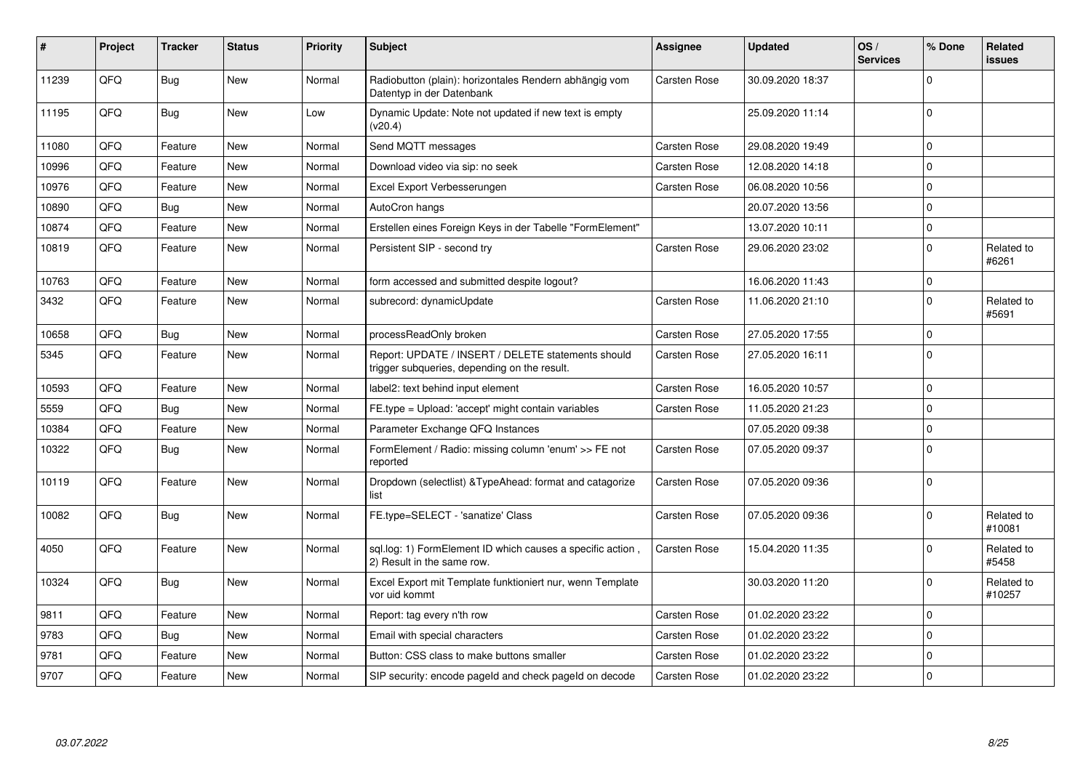| #     | Project | <b>Tracker</b> | <b>Status</b> | <b>Priority</b> | <b>Subject</b>                                                                                     | <b>Assignee</b>     | <b>Updated</b>   | OS/<br><b>Services</b> | % Done      | <b>Related</b><br><b>issues</b> |
|-------|---------|----------------|---------------|-----------------|----------------------------------------------------------------------------------------------------|---------------------|------------------|------------------------|-------------|---------------------------------|
| 11239 | QFQ     | <b>Bug</b>     | <b>New</b>    | Normal          | Radiobutton (plain): horizontales Rendern abhängig vom<br>Datentyp in der Datenbank                | Carsten Rose        | 30.09.2020 18:37 |                        | $\Omega$    |                                 |
| 11195 | QFQ     | <b>Bug</b>     | <b>New</b>    | Low             | Dynamic Update: Note not updated if new text is empty<br>(v20.4)                                   |                     | 25.09.2020 11:14 |                        | $\Omega$    |                                 |
| 11080 | QFQ     | Feature        | <b>New</b>    | Normal          | Send MQTT messages                                                                                 | Carsten Rose        | 29.08.2020 19:49 |                        | $\mathbf 0$ |                                 |
| 10996 | QFQ     | Feature        | <b>New</b>    | Normal          | Download video via sip: no seek                                                                    | Carsten Rose        | 12.08.2020 14:18 |                        | $\mathbf 0$ |                                 |
| 10976 | QFQ     | Feature        | <b>New</b>    | Normal          | Excel Export Verbesserungen                                                                        | Carsten Rose        | 06.08.2020 10:56 |                        | $\mathbf 0$ |                                 |
| 10890 | QFQ     | Bug            | <b>New</b>    | Normal          | AutoCron hangs                                                                                     |                     | 20.07.2020 13:56 |                        | $\mathbf 0$ |                                 |
| 10874 | QFQ     | Feature        | <b>New</b>    | Normal          | Erstellen eines Foreign Keys in der Tabelle "FormElement"                                          |                     | 13.07.2020 10:11 |                        | $\mathbf 0$ |                                 |
| 10819 | QFQ     | Feature        | <b>New</b>    | Normal          | Persistent SIP - second try                                                                        | Carsten Rose        | 29.06.2020 23:02 |                        | $\mathbf 0$ | Related to<br>#6261             |
| 10763 | QFQ     | Feature        | <b>New</b>    | Normal          | form accessed and submitted despite logout?                                                        |                     | 16.06.2020 11:43 |                        | $\mathbf 0$ |                                 |
| 3432  | QFQ     | Feature        | New           | Normal          | subrecord: dynamicUpdate                                                                           | Carsten Rose        | 11.06.2020 21:10 |                        | $\mathbf 0$ | Related to<br>#5691             |
| 10658 | QFQ     | Bug            | <b>New</b>    | Normal          | processReadOnly broken                                                                             | <b>Carsten Rose</b> | 27.05.2020 17:55 |                        | $\mathbf 0$ |                                 |
| 5345  | QFQ     | Feature        | <b>New</b>    | Normal          | Report: UPDATE / INSERT / DELETE statements should<br>trigger subqueries, depending on the result. | Carsten Rose        | 27.05.2020 16:11 |                        | $\Omega$    |                                 |
| 10593 | QFQ     | Feature        | <b>New</b>    | Normal          | label2: text behind input element                                                                  | <b>Carsten Rose</b> | 16.05.2020 10:57 |                        | $\mathbf 0$ |                                 |
| 5559  | QFQ     | Bug            | <b>New</b>    | Normal          | FE.type = Upload: 'accept' might contain variables                                                 | Carsten Rose        | 11.05.2020 21:23 |                        | $\mathbf 0$ |                                 |
| 10384 | QFQ     | Feature        | <b>New</b>    | Normal          | Parameter Exchange QFQ Instances                                                                   |                     | 07.05.2020 09:38 |                        | $\mathbf 0$ |                                 |
| 10322 | QFQ     | <b>Bug</b>     | New           | Normal          | FormElement / Radio: missing column 'enum' >> FE not<br>reported                                   | Carsten Rose        | 07.05.2020 09:37 |                        | $\mathbf 0$ |                                 |
| 10119 | QFQ     | Feature        | <b>New</b>    | Normal          | Dropdown (selectlist) & TypeAhead: format and catagorize<br>list                                   | Carsten Rose        | 07.05.2020 09:36 |                        | $\mathbf 0$ |                                 |
| 10082 | QFQ     | Bug            | <b>New</b>    | Normal          | FE.type=SELECT - 'sanatize' Class                                                                  | Carsten Rose        | 07.05.2020 09:36 |                        | $\Omega$    | Related to<br>#10081            |
| 4050  | QFQ     | Feature        | <b>New</b>    | Normal          | sql.log: 1) FormElement ID which causes a specific action,<br>2) Result in the same row.           | Carsten Rose        | 15.04.2020 11:35 |                        | $\Omega$    | Related to<br>#5458             |
| 10324 | QFQ     | <b>Bug</b>     | <b>New</b>    | Normal          | Excel Export mit Template funktioniert nur, wenn Template<br>vor uid kommt                         |                     | 30.03.2020 11:20 |                        | $\mathbf 0$ | Related to<br>#10257            |
| 9811  | QFQ     | Feature        | <b>New</b>    | Normal          | Report: tag every n'th row                                                                         | Carsten Rose        | 01.02.2020 23:22 |                        | $\mathbf 0$ |                                 |
| 9783  | QFQ     | Bug            | <b>New</b>    | Normal          | Email with special characters                                                                      | <b>Carsten Rose</b> | 01.02.2020 23:22 |                        | $\mathbf 0$ |                                 |
| 9781  | QFQ     | Feature        | <b>New</b>    | Normal          | Button: CSS class to make buttons smaller                                                          | Carsten Rose        | 01.02.2020 23:22 |                        | $\mathbf 0$ |                                 |
| 9707  | QFQ     | Feature        | <b>New</b>    | Normal          | SIP security: encode pageld and check pageld on decode                                             | Carsten Rose        | 01.02.2020 23:22 |                        | $\mathbf 0$ |                                 |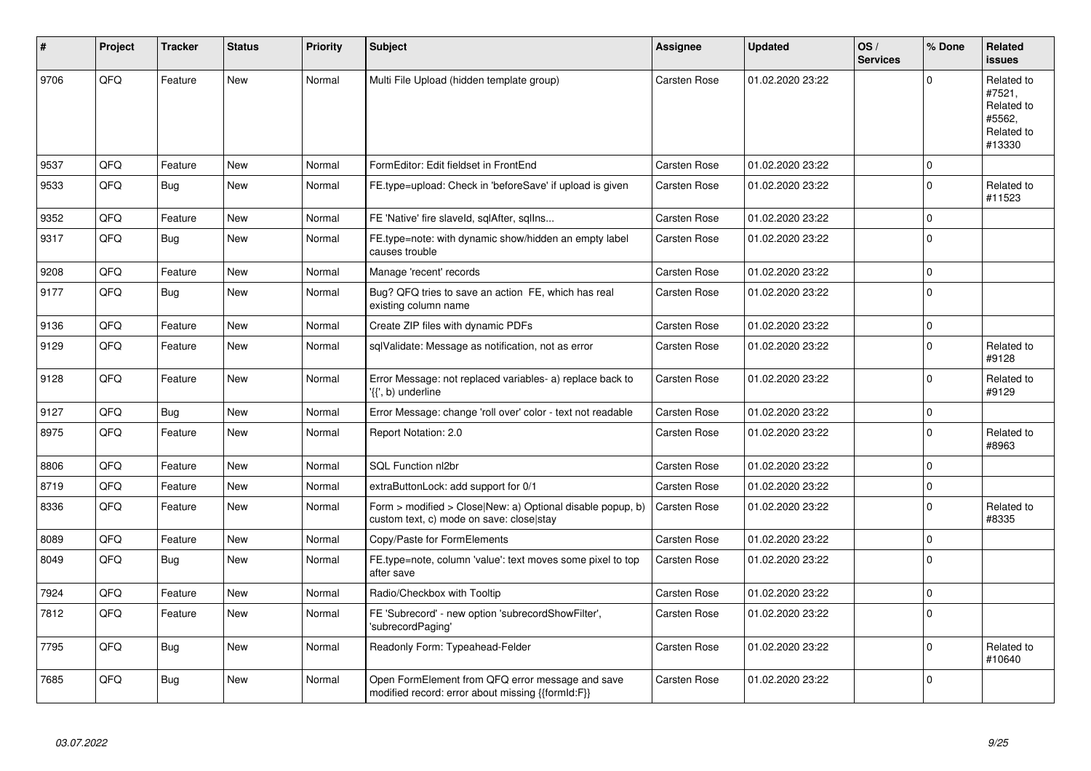| $\sharp$ | Project | <b>Tracker</b> | <b>Status</b> | <b>Priority</b> | <b>Subject</b>                                                                                         | Assignee            | <b>Updated</b>   | OS/<br><b>Services</b> | % Done       | Related<br><b>issues</b>                                             |
|----------|---------|----------------|---------------|-----------------|--------------------------------------------------------------------------------------------------------|---------------------|------------------|------------------------|--------------|----------------------------------------------------------------------|
| 9706     | QFQ     | Feature        | <b>New</b>    | Normal          | Multi File Upload (hidden template group)                                                              | Carsten Rose        | 01.02.2020 23:22 |                        | $\Omega$     | Related to<br>#7521,<br>Related to<br>#5562,<br>Related to<br>#13330 |
| 9537     | QFQ     | Feature        | <b>New</b>    | Normal          | FormEditor: Edit fieldset in FrontEnd                                                                  | <b>Carsten Rose</b> | 01.02.2020 23:22 |                        | 0            |                                                                      |
| 9533     | QFQ     | <b>Bug</b>     | <b>New</b>    | Normal          | FE.type=upload: Check in 'beforeSave' if upload is given                                               | Carsten Rose        | 01.02.2020 23:22 |                        | $\Omega$     | Related to<br>#11523                                                 |
| 9352     | QFQ     | Feature        | New           | Normal          | FE 'Native' fire slaveld, sqlAfter, sqlIns                                                             | Carsten Rose        | 01.02.2020 23:22 |                        | 0            |                                                                      |
| 9317     | QFQ     | Bug            | <b>New</b>    | Normal          | FE.type=note: with dynamic show/hidden an empty label<br>causes trouble                                | <b>Carsten Rose</b> | 01.02.2020 23:22 |                        | $\Omega$     |                                                                      |
| 9208     | QFQ     | Feature        | New           | Normal          | Manage 'recent' records                                                                                | <b>Carsten Rose</b> | 01.02.2020 23:22 |                        | $\mathbf{0}$ |                                                                      |
| 9177     | QFQ     | <b>Bug</b>     | <b>New</b>    | Normal          | Bug? QFQ tries to save an action FE, which has real<br>existing column name                            | Carsten Rose        | 01.02.2020 23:22 |                        | $\Omega$     |                                                                      |
| 9136     | QFQ     | Feature        | <b>New</b>    | Normal          | Create ZIP files with dynamic PDFs                                                                     | <b>Carsten Rose</b> | 01.02.2020 23:22 |                        | 0            |                                                                      |
| 9129     | QFQ     | Feature        | <b>New</b>    | Normal          | sqlValidate: Message as notification, not as error                                                     | Carsten Rose        | 01.02.2020 23:22 |                        | $\Omega$     | Related to<br>#9128                                                  |
| 9128     | QFQ     | Feature        | New           | Normal          | Error Message: not replaced variables- a) replace back to<br>'{{', b) underline                        | Carsten Rose        | 01.02.2020 23:22 |                        | $\Omega$     | Related to<br>#9129                                                  |
| 9127     | QFQ     | Bug            | <b>New</b>    | Normal          | Error Message: change 'roll over' color - text not readable                                            | Carsten Rose        | 01.02.2020 23:22 |                        | 0            |                                                                      |
| 8975     | QFQ     | Feature        | New           | Normal          | Report Notation: 2.0                                                                                   | Carsten Rose        | 01.02.2020 23:22 |                        | 0            | Related to<br>#8963                                                  |
| 8806     | QFQ     | Feature        | <b>New</b>    | Normal          | SQL Function nl2br                                                                                     | Carsten Rose        | 01.02.2020 23:22 |                        | $\mathbf{0}$ |                                                                      |
| 8719     | QFQ     | Feature        | <b>New</b>    | Normal          | extraButtonLock: add support for 0/1                                                                   | Carsten Rose        | 01.02.2020 23:22 |                        | $\mathbf 0$  |                                                                      |
| 8336     | QFQ     | Feature        | New           | Normal          | Form > modified > Close New: a) Optional disable popup, b)<br>custom text, c) mode on save: close stay | Carsten Rose        | 01.02.2020 23:22 |                        | $\Omega$     | Related to<br>#8335                                                  |
| 8089     | QFQ     | Feature        | New           | Normal          | Copy/Paste for FormElements                                                                            | Carsten Rose        | 01.02.2020 23:22 |                        | 0            |                                                                      |
| 8049     | QFQ     | Bug            | New           | Normal          | FE.type=note, column 'value': text moves some pixel to top<br>after save                               | Carsten Rose        | 01.02.2020 23:22 |                        | $\Omega$     |                                                                      |
| 7924     | QFQ     | Feature        | New           | Normal          | Radio/Checkbox with Tooltip                                                                            | Carsten Rose        | 01.02.2020 23:22 |                        | 0            |                                                                      |
| 7812     | QFQ     | Feature        | New           | Normal          | FE 'Subrecord' - new option 'subrecordShowFilter',<br>'subrecordPaging'                                | Carsten Rose        | 01.02.2020 23:22 |                        | $\Omega$     |                                                                      |
| 7795     | QFQ     | Bug            | <b>New</b>    | Normal          | Readonly Form: Typeahead-Felder                                                                        | <b>Carsten Rose</b> | 01.02.2020 23:22 |                        | 0            | Related to<br>#10640                                                 |
| 7685     | QFQ     | <b>Bug</b>     | <b>New</b>    | Normal          | Open FormElement from QFQ error message and save<br>modified record: error about missing {{formId:F}}  | Carsten Rose        | 01.02.2020 23:22 |                        | $\Omega$     |                                                                      |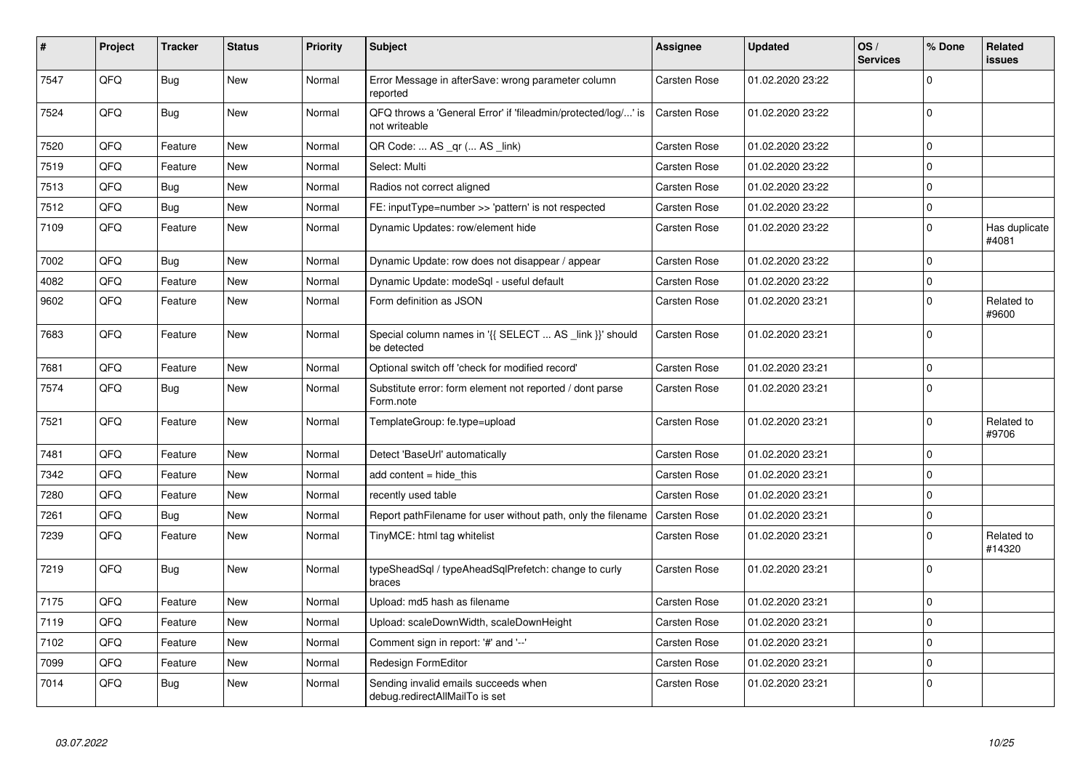| $\vert$ # | Project | <b>Tracker</b> | <b>Status</b> | <b>Priority</b> | <b>Subject</b>                                                                 | Assignee            | Updated          | OS/<br><b>Services</b> | % Done       | <b>Related</b><br>issues |
|-----------|---------|----------------|---------------|-----------------|--------------------------------------------------------------------------------|---------------------|------------------|------------------------|--------------|--------------------------|
| 7547      | QFQ     | Bug            | <b>New</b>    | Normal          | Error Message in afterSave: wrong parameter column<br>reported                 | Carsten Rose        | 01.02.2020 23:22 |                        | $\mathbf 0$  |                          |
| 7524      | QFQ     | <b>Bug</b>     | <b>New</b>    | Normal          | QFQ throws a 'General Error' if 'fileadmin/protected/log/' is<br>not writeable | Carsten Rose        | 01.02.2020 23:22 |                        | $\mathbf{0}$ |                          |
| 7520      | QFQ     | Feature        | <b>New</b>    | Normal          | QR Code:  AS _qr ( AS _link)                                                   | <b>Carsten Rose</b> | 01.02.2020 23:22 |                        | $\pmb{0}$    |                          |
| 7519      | QFQ     | Feature        | <b>New</b>    | Normal          | Select: Multi                                                                  | Carsten Rose        | 01.02.2020 23:22 |                        | $\Omega$     |                          |
| 7513      | QFQ     | <b>Bug</b>     | <b>New</b>    | Normal          | Radios not correct aligned                                                     | <b>Carsten Rose</b> | 01.02.2020 23:22 |                        | $\mathbf 0$  |                          |
| 7512      | QFQ     | <b>Bug</b>     | <b>New</b>    | Normal          | FE: inputType=number >> 'pattern' is not respected                             | Carsten Rose        | 01.02.2020 23:22 |                        | $\pmb{0}$    |                          |
| 7109      | QFQ     | Feature        | New           | Normal          | Dynamic Updates: row/element hide                                              | <b>Carsten Rose</b> | 01.02.2020 23:22 |                        | $\pmb{0}$    | Has duplicate<br>#4081   |
| 7002      | QFQ     | <b>Bug</b>     | <b>New</b>    | Normal          | Dynamic Update: row does not disappear / appear                                | Carsten Rose        | 01.02.2020 23:22 |                        | $\Omega$     |                          |
| 4082      | QFQ     | Feature        | <b>New</b>    | Normal          | Dynamic Update: modeSql - useful default                                       | <b>Carsten Rose</b> | 01.02.2020 23:22 |                        | $\pmb{0}$    |                          |
| 9602      | QFQ     | Feature        | <b>New</b>    | Normal          | Form definition as JSON                                                        | <b>Carsten Rose</b> | 01.02.2020 23:21 |                        | $\mathbf 0$  | Related to<br>#9600      |
| 7683      | QFQ     | Feature        | <b>New</b>    | Normal          | Special column names in '{{ SELECT  AS _link }}' should<br>be detected         | <b>Carsten Rose</b> | 01.02.2020 23:21 |                        | $\mathbf 0$  |                          |
| 7681      | QFQ     | Feature        | <b>New</b>    | Normal          | Optional switch off 'check for modified record'                                | Carsten Rose        | 01.02.2020 23:21 |                        | $\mathbf{0}$ |                          |
| 7574      | QFQ     | <b>Bug</b>     | New           | Normal          | Substitute error: form element not reported / dont parse<br>Form.note          | <b>Carsten Rose</b> | 01.02.2020 23:21 |                        | $\pmb{0}$    |                          |
| 7521      | QFQ     | Feature        | <b>New</b>    | Normal          | TemplateGroup: fe.type=upload                                                  | Carsten Rose        | 01.02.2020 23:21 |                        | $\mathbf 0$  | Related to<br>#9706      |
| 7481      | QFQ     | Feature        | New           | Normal          | Detect 'BaseUrl' automatically                                                 | <b>Carsten Rose</b> | 01.02.2020 23:21 |                        | $\mathbf 0$  |                          |
| 7342      | QFQ     | Feature        | New           | Normal          | add content = hide this                                                        | Carsten Rose        | 01.02.2020 23:21 |                        | $\pmb{0}$    |                          |
| 7280      | QFQ     | Feature        | New           | Normal          | recently used table                                                            | <b>Carsten Rose</b> | 01.02.2020 23:21 |                        | $\mathbf 0$  |                          |
| 7261      | QFQ     | Bug            | <b>New</b>    | Normal          | Report pathFilename for user without path, only the filename                   | Carsten Rose        | 01.02.2020 23:21 |                        | $\pmb{0}$    |                          |
| 7239      | QFQ     | Feature        | New           | Normal          | TinyMCE: html tag whitelist                                                    | <b>Carsten Rose</b> | 01.02.2020 23:21 |                        | $\mathbf 0$  | Related to<br>#14320     |
| 7219      | QFQ     | Bug            | <b>New</b>    | Normal          | typeSheadSql / typeAheadSqlPrefetch: change to curly<br>braces                 | Carsten Rose        | 01.02.2020 23:21 |                        | $\mathbf 0$  |                          |
| 7175      | QFQ     | Feature        | <b>New</b>    | Normal          | Upload: md5 hash as filename                                                   | Carsten Rose        | 01.02.2020 23:21 |                        | $\mathbf 0$  |                          |
| 7119      | QFQ     | Feature        | <b>New</b>    | Normal          | Upload: scaleDownWidth, scaleDownHeight                                        | Carsten Rose        | 01.02.2020 23:21 |                        | 0            |                          |
| 7102      | QFQ     | Feature        | <b>New</b>    | Normal          | Comment sign in report: '#' and '--'                                           | <b>Carsten Rose</b> | 01.02.2020 23:21 |                        | $\mathbf 0$  |                          |
| 7099      | QFQ     | Feature        | <b>New</b>    | Normal          | Redesign FormEditor                                                            | Carsten Rose        | 01.02.2020 23:21 |                        | $\pmb{0}$    |                          |
| 7014      | QFQ     | Bug            | <b>New</b>    | Normal          | Sending invalid emails succeeds when<br>debug.redirectAllMailTo is set         | Carsten Rose        | 01.02.2020 23:21 |                        | $\mathbf 0$  |                          |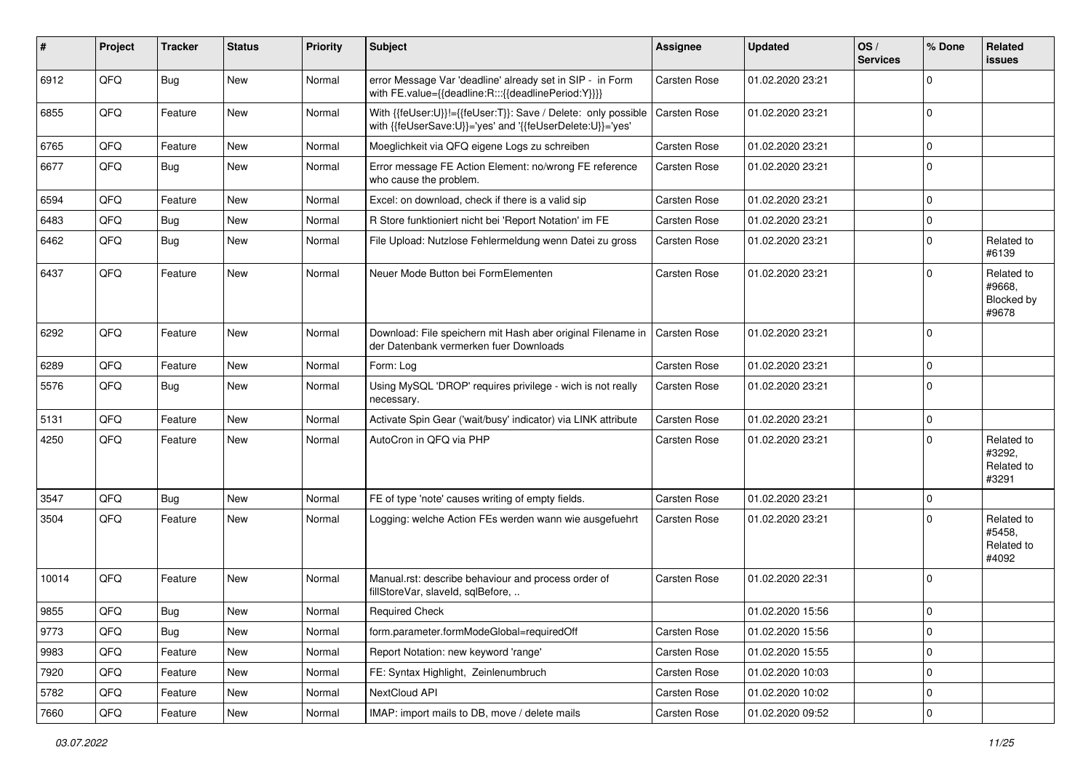| #     | Project | <b>Tracker</b> | <b>Status</b> | <b>Priority</b> | <b>Subject</b>                                                                                                             | <b>Assignee</b>     | <b>Updated</b>   | OS/<br><b>Services</b> | % Done      | Related<br>issues                           |
|-------|---------|----------------|---------------|-----------------|----------------------------------------------------------------------------------------------------------------------------|---------------------|------------------|------------------------|-------------|---------------------------------------------|
| 6912  | QFQ     | Bug            | New           | Normal          | error Message Var 'deadline' already set in SIP - in Form<br>with FE.value={{deadline:R:::{{deadlinePeriod:Y}}}}           | Carsten Rose        | 01.02.2020 23:21 |                        | $\mathbf 0$ |                                             |
| 6855  | QFQ     | Feature        | <b>New</b>    | Normal          | With {{feUser:U}}!={{feUser:T}}: Save / Delete: only possible<br>with {{feUserSave:U}}='yes' and '{{feUserDelete:U}}='yes' | <b>Carsten Rose</b> | 01.02.2020 23:21 |                        | $\mathbf 0$ |                                             |
| 6765  | QFQ     | Feature        | <b>New</b>    | Normal          | Moeglichkeit via QFQ eigene Logs zu schreiben                                                                              | Carsten Rose        | 01.02.2020 23:21 |                        | $\mathbf 0$ |                                             |
| 6677  | QFQ     | Bug            | New           | Normal          | Error message FE Action Element: no/wrong FE reference<br>who cause the problem.                                           | Carsten Rose        | 01.02.2020 23:21 |                        | $\mathbf 0$ |                                             |
| 6594  | QFQ     | Feature        | New           | Normal          | Excel: on download, check if there is a valid sip                                                                          | Carsten Rose        | 01.02.2020 23:21 |                        | $\mathbf 0$ |                                             |
| 6483  | QFQ     | Bug            | <b>New</b>    | Normal          | R Store funktioniert nicht bei 'Report Notation' im FE                                                                     | Carsten Rose        | 01.02.2020 23:21 |                        | $\mathbf 0$ |                                             |
| 6462  | QFQ     | Bug            | New           | Normal          | File Upload: Nutzlose Fehlermeldung wenn Datei zu gross                                                                    | <b>Carsten Rose</b> | 01.02.2020 23:21 |                        | $\mathbf 0$ | Related to<br>#6139                         |
| 6437  | QFQ     | Feature        | New           | Normal          | Neuer Mode Button bei FormElementen                                                                                        | Carsten Rose        | 01.02.2020 23:21 |                        | $\mathbf 0$ | Related to<br>#9668,<br>Blocked by<br>#9678 |
| 6292  | QFQ     | Feature        | <b>New</b>    | Normal          | Download: File speichern mit Hash aber original Filename in<br>der Datenbank vermerken fuer Downloads                      | Carsten Rose        | 01.02.2020 23:21 |                        | $\mathbf 0$ |                                             |
| 6289  | QFQ     | Feature        | <b>New</b>    | Normal          | Form: Log                                                                                                                  | Carsten Rose        | 01.02.2020 23:21 |                        | $\mathbf 0$ |                                             |
| 5576  | QFQ     | Bug            | New           | Normal          | Using MySQL 'DROP' requires privilege - wich is not really<br>necessary.                                                   | Carsten Rose        | 01.02.2020 23:21 |                        | $\mathbf 0$ |                                             |
| 5131  | QFQ     | Feature        | <b>New</b>    | Normal          | Activate Spin Gear ('wait/busy' indicator) via LINK attribute                                                              | Carsten Rose        | 01.02.2020 23:21 |                        | $\mathbf 0$ |                                             |
| 4250  | QFQ     | Feature        | <b>New</b>    | Normal          | AutoCron in QFQ via PHP                                                                                                    | Carsten Rose        | 01.02.2020 23:21 |                        | $\mathbf 0$ | Related to<br>#3292,<br>Related to<br>#3291 |
| 3547  | QFQ     | Bug            | <b>New</b>    | Normal          | FE of type 'note' causes writing of empty fields.                                                                          | Carsten Rose        | 01.02.2020 23:21 |                        | $\mathbf 0$ |                                             |
| 3504  | QFQ     | Feature        | <b>New</b>    | Normal          | Logging: welche Action FEs werden wann wie ausgefuehrt                                                                     | <b>Carsten Rose</b> | 01.02.2020 23:21 |                        | $\mathbf 0$ | Related to<br>#5458,<br>Related to<br>#4092 |
| 10014 | QFQ     | Feature        | New           | Normal          | Manual.rst: describe behaviour and process order of<br>fillStoreVar, slaveId, sqlBefore,                                   | Carsten Rose        | 01.02.2020 22:31 |                        | $\mathbf 0$ |                                             |
| 9855  | QFQ     | Bug            | <b>New</b>    | Normal          | <b>Required Check</b>                                                                                                      |                     | 01.02.2020 15:56 |                        | $\mathbf 0$ |                                             |
| 9773  | QFQ     | Bug            | New           | Normal          | form.parameter.formModeGlobal=requiredOff                                                                                  | Carsten Rose        | 01.02.2020 15:56 |                        | $\pmb{0}$   |                                             |
| 9983  | QFQ     | Feature        | New           | Normal          | Report Notation: new keyword 'range'                                                                                       | Carsten Rose        | 01.02.2020 15:55 |                        | $\pmb{0}$   |                                             |
| 7920  | QFQ     | Feature        | New           | Normal          | FE: Syntax Highlight, Zeinlenumbruch                                                                                       | Carsten Rose        | 01.02.2020 10:03 |                        | $\pmb{0}$   |                                             |
| 5782  | QFQ     | Feature        | New           | Normal          | NextCloud API                                                                                                              | Carsten Rose        | 01.02.2020 10:02 |                        | 0           |                                             |
| 7660  | QFQ     | Feature        | New           | Normal          | IMAP: import mails to DB, move / delete mails                                                                              | Carsten Rose        | 01.02.2020 09:52 |                        | $\pmb{0}$   |                                             |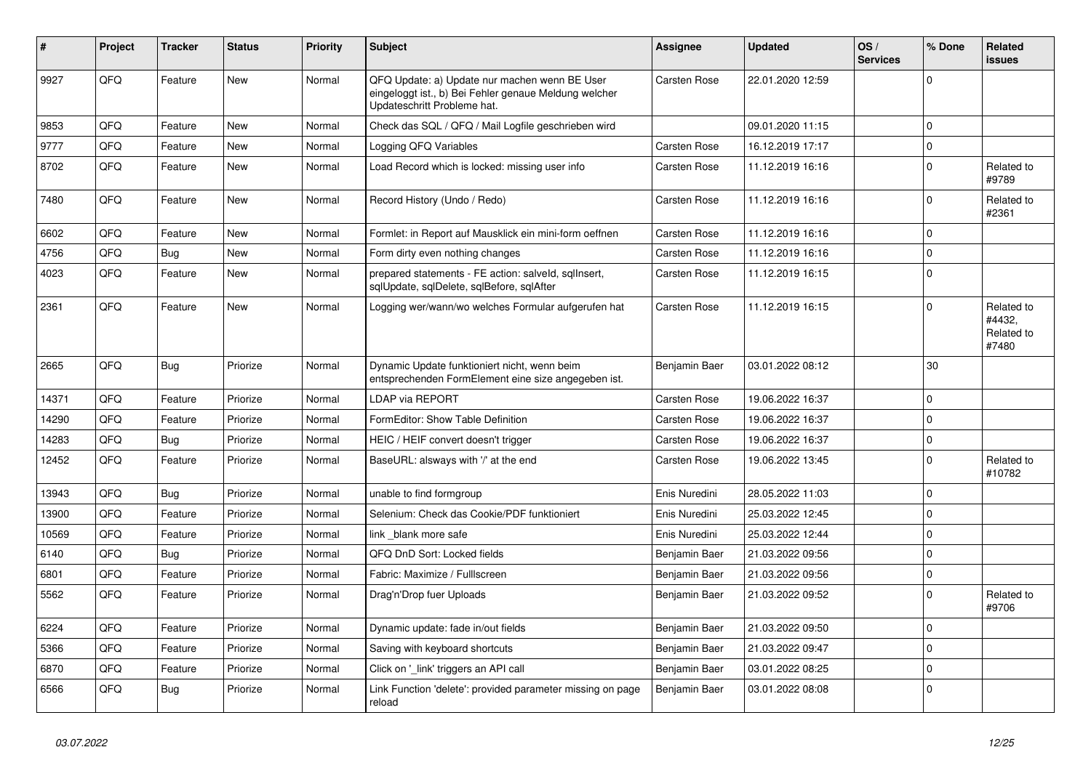| #     | Project | <b>Tracker</b> | <b>Status</b> | <b>Priority</b> | <b>Subject</b>                                                                                                                        | Assignee            | <b>Updated</b>   | OS/<br><b>Services</b> | % Done       | <b>Related</b><br><b>issues</b>             |
|-------|---------|----------------|---------------|-----------------|---------------------------------------------------------------------------------------------------------------------------------------|---------------------|------------------|------------------------|--------------|---------------------------------------------|
| 9927  | QFQ     | Feature        | <b>New</b>    | Normal          | QFQ Update: a) Update nur machen wenn BE User<br>eingeloggt ist., b) Bei Fehler genaue Meldung welcher<br>Updateschritt Probleme hat. | Carsten Rose        | 22.01.2020 12:59 |                        | $\Omega$     |                                             |
| 9853  | QFQ     | Feature        | New           | Normal          | Check das SQL / QFQ / Mail Logfile geschrieben wird                                                                                   |                     | 09.01.2020 11:15 |                        | $\mathbf 0$  |                                             |
| 9777  | QFQ     | Feature        | New           | Normal          | Logging QFQ Variables                                                                                                                 | Carsten Rose        | 16.12.2019 17:17 |                        | $\mathbf 0$  |                                             |
| 8702  | QFQ     | Feature        | <b>New</b>    | Normal          | Load Record which is locked: missing user info                                                                                        | Carsten Rose        | 11.12.2019 16:16 |                        | $\mathbf 0$  | Related to<br>#9789                         |
| 7480  | QFQ     | Feature        | New           | Normal          | Record History (Undo / Redo)                                                                                                          | Carsten Rose        | 11.12.2019 16:16 |                        | $\Omega$     | Related to<br>#2361                         |
| 6602  | QFQ     | Feature        | <b>New</b>    | Normal          | Formlet: in Report auf Mausklick ein mini-form oeffnen                                                                                | Carsten Rose        | 11.12.2019 16:16 |                        | $\Omega$     |                                             |
| 4756  | QFQ     | <b>Bug</b>     | <b>New</b>    | Normal          | Form dirty even nothing changes                                                                                                       | Carsten Rose        | 11.12.2019 16:16 |                        | $\mathbf 0$  |                                             |
| 4023  | QFQ     | Feature        | <b>New</b>    | Normal          | prepared statements - FE action: salveld, sqllnsert,<br>sqlUpdate, sqlDelete, sqlBefore, sqlAfter                                     | <b>Carsten Rose</b> | 11.12.2019 16:15 |                        | $\mathbf 0$  |                                             |
| 2361  | QFQ     | Feature        | New           | Normal          | Logging wer/wann/wo welches Formular aufgerufen hat                                                                                   | Carsten Rose        | 11.12.2019 16:15 |                        | $\mathbf 0$  | Related to<br>#4432,<br>Related to<br>#7480 |
| 2665  | QFQ     | Bug            | Priorize      | Normal          | Dynamic Update funktioniert nicht, wenn beim<br>entsprechenden FormElement eine size angegeben ist.                                   | Benjamin Baer       | 03.01.2022 08:12 |                        | 30           |                                             |
| 14371 | QFQ     | Feature        | Priorize      | Normal          | LDAP via REPORT                                                                                                                       | Carsten Rose        | 19.06.2022 16:37 |                        | $\mathbf 0$  |                                             |
| 14290 | QFQ     | Feature        | Priorize      | Normal          | FormEditor: Show Table Definition                                                                                                     | Carsten Rose        | 19.06.2022 16:37 |                        | $\Omega$     |                                             |
| 14283 | QFQ     | <b>Bug</b>     | Priorize      | Normal          | HEIC / HEIF convert doesn't trigger                                                                                                   | Carsten Rose        | 19.06.2022 16:37 |                        | $\Omega$     |                                             |
| 12452 | QFQ     | Feature        | Priorize      | Normal          | BaseURL: alsways with '/' at the end                                                                                                  | Carsten Rose        | 19.06.2022 13:45 |                        | $\mathbf{0}$ | Related to<br>#10782                        |
| 13943 | QFQ     | Bug            | Priorize      | Normal          | unable to find formgroup                                                                                                              | Enis Nuredini       | 28.05.2022 11:03 |                        | $\mathbf 0$  |                                             |
| 13900 | QFQ     | Feature        | Priorize      | Normal          | Selenium: Check das Cookie/PDF funktioniert                                                                                           | Enis Nuredini       | 25.03.2022 12:45 |                        | $\mathbf 0$  |                                             |
| 10569 | QFQ     | Feature        | Priorize      | Normal          | link blank more safe                                                                                                                  | Enis Nuredini       | 25.03.2022 12:44 |                        | $\mathbf 0$  |                                             |
| 6140  | QFQ     | <b>Bug</b>     | Priorize      | Normal          | QFQ DnD Sort: Locked fields                                                                                                           | Benjamin Baer       | 21.03.2022 09:56 |                        | $\mathbf 0$  |                                             |
| 6801  | QFQ     | Feature        | Priorize      | Normal          | Fabric: Maximize / FullIscreen                                                                                                        | Benjamin Baer       | 21.03.2022 09:56 |                        | $\Omega$     |                                             |
| 5562  | QFQ     | Feature        | Priorize      | Normal          | Drag'n'Drop fuer Uploads                                                                                                              | Benjamin Baer       | 21.03.2022 09:52 |                        | $\Omega$     | Related to<br>#9706                         |
| 6224  | QFQ     | Feature        | Priorize      | Normal          | Dynamic update: fade in/out fields                                                                                                    | Benjamin Baer       | 21.03.2022 09:50 |                        | $\mathbf 0$  |                                             |
| 5366  | QFQ     | Feature        | Priorize      | Normal          | Saving with keyboard shortcuts                                                                                                        | Benjamin Baer       | 21.03.2022 09:47 |                        | $\mathbf 0$  |                                             |
| 6870  | QFQ     | Feature        | Priorize      | Normal          | Click on '_link' triggers an API call                                                                                                 | Benjamin Baer       | 03.01.2022 08:25 |                        | $\mathbf 0$  |                                             |
| 6566  | QFQ     | <b>Bug</b>     | Priorize      | Normal          | Link Function 'delete': provided parameter missing on page<br>reload                                                                  | Benjamin Baer       | 03.01.2022 08:08 |                        | $\mathbf 0$  |                                             |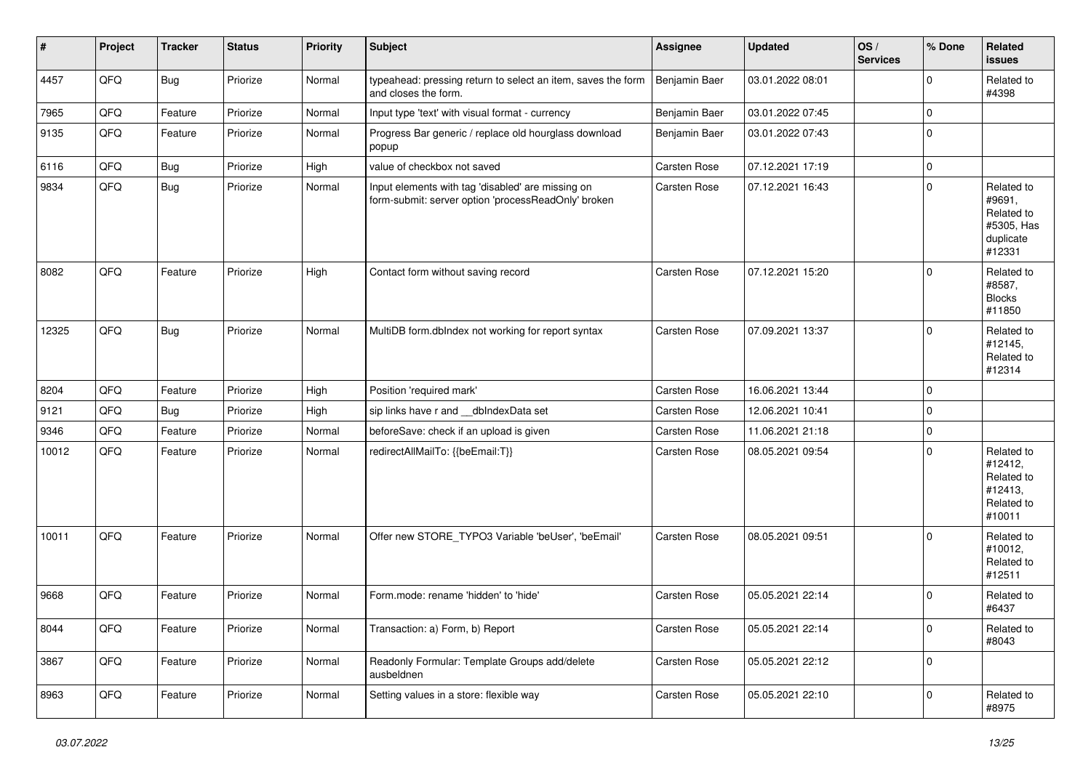| $\vert$ # | Project | <b>Tracker</b> | <b>Status</b> | <b>Priority</b> | <b>Subject</b>                                                                                           | Assignee            | <b>Updated</b>   | OS/<br><b>Services</b> | % Done      | Related<br><b>issues</b>                                                |
|-----------|---------|----------------|---------------|-----------------|----------------------------------------------------------------------------------------------------------|---------------------|------------------|------------------------|-------------|-------------------------------------------------------------------------|
| 4457      | QFQ     | Bug            | Priorize      | Normal          | typeahead: pressing return to select an item, saves the form<br>and closes the form.                     | Benjamin Baer       | 03.01.2022 08:01 |                        | 0           | Related to<br>#4398                                                     |
| 7965      | QFQ     | Feature        | Priorize      | Normal          | Input type 'text' with visual format - currency                                                          | Benjamin Baer       | 03.01.2022 07:45 |                        | $\mathbf 0$ |                                                                         |
| 9135      | QFQ     | Feature        | Priorize      | Normal          | Progress Bar generic / replace old hourglass download<br>popup                                           | Benjamin Baer       | 03.01.2022 07:43 |                        | 0           |                                                                         |
| 6116      | QFQ     | Bug            | Priorize      | High            | value of checkbox not saved                                                                              | Carsten Rose        | 07.12.2021 17:19 |                        | $\mathbf 0$ |                                                                         |
| 9834      | QFQ     | Bug            | Priorize      | Normal          | Input elements with tag 'disabled' are missing on<br>form-submit: server option 'processReadOnly' broken | Carsten Rose        | 07.12.2021 16:43 |                        | $\mathbf 0$ | Related to<br>#9691,<br>Related to<br>#5305, Has<br>duplicate<br>#12331 |
| 8082      | QFQ     | Feature        | Priorize      | High            | Contact form without saving record                                                                       | <b>Carsten Rose</b> | 07.12.2021 15:20 |                        | $\Omega$    | Related to<br>#8587,<br><b>Blocks</b><br>#11850                         |
| 12325     | QFQ     | Bug            | Priorize      | Normal          | MultiDB form.dblndex not working for report syntax                                                       | <b>Carsten Rose</b> | 07.09.2021 13:37 |                        | $\Omega$    | Related to<br>#12145,<br>Related to<br>#12314                           |
| 8204      | QFQ     | Feature        | Priorize      | High            | Position 'required mark'                                                                                 | Carsten Rose        | 16.06.2021 13:44 |                        | $\mathbf 0$ |                                                                         |
| 9121      | QFQ     | Bug            | Priorize      | High            | sip links have r and __dbIndexData set                                                                   | <b>Carsten Rose</b> | 12.06.2021 10:41 |                        | 0           |                                                                         |
| 9346      | QFQ     | Feature        | Priorize      | Normal          | beforeSave: check if an upload is given                                                                  | Carsten Rose        | 11.06.2021 21:18 |                        | $\mathbf 0$ |                                                                         |
| 10012     | QFQ     | Feature        | Priorize      | Normal          | redirectAllMailTo: {{beEmail:T}}                                                                         | Carsten Rose        | 08.05.2021 09:54 |                        | $\mathbf 0$ | Related to<br>#12412,<br>Related to<br>#12413,<br>Related to<br>#10011  |
| 10011     | QFQ     | Feature        | Priorize      | Normal          | Offer new STORE_TYPO3 Variable 'beUser', 'beEmail'                                                       | <b>Carsten Rose</b> | 08.05.2021 09:51 |                        | $\Omega$    | Related to<br>#10012,<br>Related to<br>#12511                           |
| 9668      | QFQ     | Feature        | Priorize      | Normal          | Form.mode: rename 'hidden' to 'hide'                                                                     | <b>Carsten Rose</b> | 05.05.2021 22:14 |                        | 0           | Related to<br>#6437                                                     |
| 8044      | QFQ     | Feature        | Priorize      | Normal          | Transaction: a) Form, b) Report                                                                          | Carsten Rose        | 05.05.2021 22:14 |                        | $\mathbf 0$ | Related to<br>#8043                                                     |
| 3867      | QFQ     | Feature        | Priorize      | Normal          | Readonly Formular: Template Groups add/delete<br>ausbeldnen                                              | Carsten Rose        | 05.05.2021 22:12 |                        | $\mathbf 0$ |                                                                         |
| 8963      | QFQ     | Feature        | Priorize      | Normal          | Setting values in a store: flexible way                                                                  | Carsten Rose        | 05.05.2021 22:10 |                        | $\mathbf 0$ | Related to<br>#8975                                                     |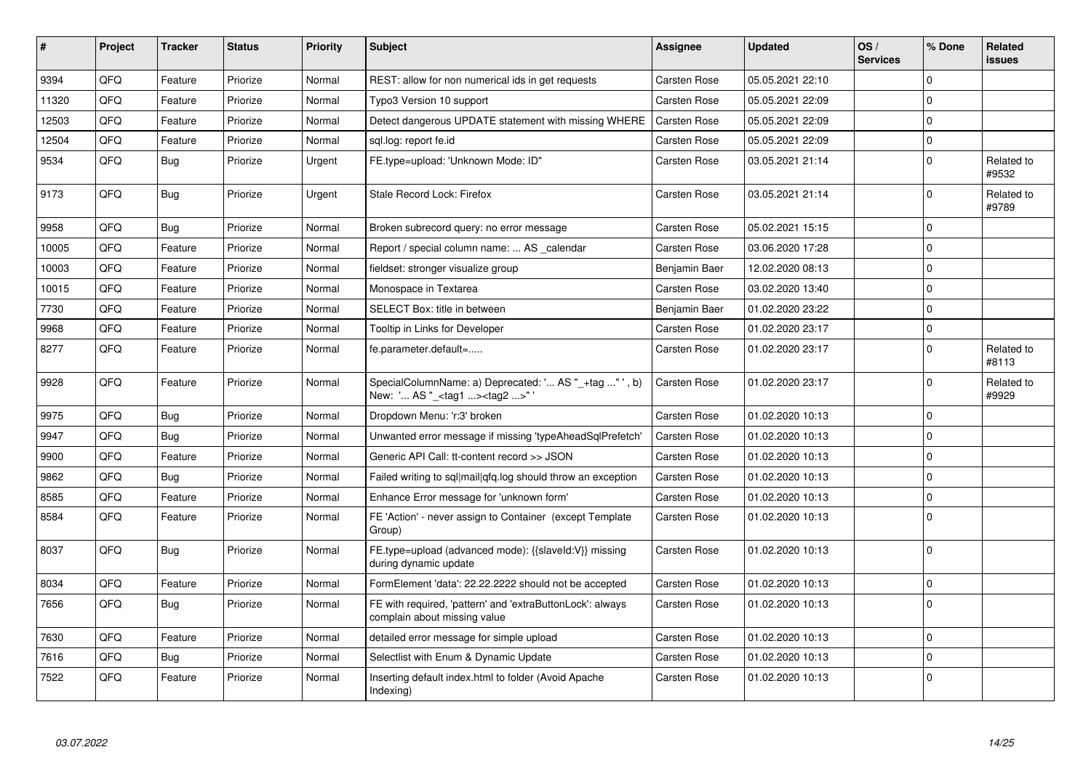| #     | Project | <b>Tracker</b> | <b>Status</b> | <b>Priority</b> | <b>Subject</b>                                                                                    | Assignee            | <b>Updated</b>   | OS/<br><b>Services</b> | % Done         | Related<br><b>issues</b> |
|-------|---------|----------------|---------------|-----------------|---------------------------------------------------------------------------------------------------|---------------------|------------------|------------------------|----------------|--------------------------|
| 9394  | QFQ     | Feature        | Priorize      | Normal          | REST: allow for non numerical ids in get requests                                                 | Carsten Rose        | 05.05.2021 22:10 |                        | $\Omega$       |                          |
| 11320 | QFQ     | Feature        | Priorize      | Normal          | Typo3 Version 10 support                                                                          | <b>Carsten Rose</b> | 05.05.2021 22:09 |                        | $\Omega$       |                          |
| 12503 | QFQ     | Feature        | Priorize      | Normal          | Detect dangerous UPDATE statement with missing WHERE                                              | Carsten Rose        | 05.05.2021 22:09 |                        | 0              |                          |
| 12504 | QFQ     | Feature        | Priorize      | Normal          | sql.log: report fe.id                                                                             | Carsten Rose        | 05.05.2021 22:09 |                        | $\mathbf 0$    |                          |
| 9534  | QFQ     | <b>Bug</b>     | Priorize      | Urgent          | FE.type=upload: 'Unknown Mode: ID"                                                                | Carsten Rose        | 03.05.2021 21:14 |                        | $\Omega$       | Related to<br>#9532      |
| 9173  | QFQ     | Bug            | Priorize      | Urgent          | Stale Record Lock: Firefox                                                                        | <b>Carsten Rose</b> | 03.05.2021 21:14 |                        | $\mathbf{0}$   | Related to<br>#9789      |
| 9958  | QFQ     | Bug            | Priorize      | Normal          | Broken subrecord query: no error message                                                          | <b>Carsten Rose</b> | 05.02.2021 15:15 |                        | $\overline{0}$ |                          |
| 10005 | QFQ     | Feature        | Priorize      | Normal          | Report / special column name:  AS calendar                                                        | <b>Carsten Rose</b> | 03.06.2020 17:28 |                        | $\mathbf 0$    |                          |
| 10003 | QFQ     | Feature        | Priorize      | Normal          | fieldset: stronger visualize group                                                                | Benjamin Baer       | 12.02.2020 08:13 |                        | 0              |                          |
| 10015 | QFQ     | Feature        | Priorize      | Normal          | Monospace in Textarea                                                                             | <b>Carsten Rose</b> | 03.02.2020 13:40 |                        | 0              |                          |
| 7730  | QFQ     | Feature        | Priorize      | Normal          | <b>SELECT Box: title in between</b>                                                               | Benjamin Baer       | 01.02.2020 23:22 |                        | $\Omega$       |                          |
| 9968  | QFQ     | Feature        | Priorize      | Normal          | Tooltip in Links for Developer                                                                    | <b>Carsten Rose</b> | 01.02.2020 23:17 |                        | $\mathbf 0$    |                          |
| 8277  | QFQ     | Feature        | Priorize      | Normal          | fe.parameter.default=                                                                             | Carsten Rose        | 01.02.2020 23:17 |                        | $\Omega$       | Related to<br>#8113      |
| 9928  | QFQ     | Feature        | Priorize      | Normal          | SpecialColumnName: a) Deprecated: ' AS "_+tag " ', b)<br>New: ' AS "_ <tag1><tag2>"</tag2></tag1> | Carsten Rose        | 01.02.2020 23:17 |                        | $\Omega$       | Related to<br>#9929      |
| 9975  | QFQ     | <b>Bug</b>     | Priorize      | Normal          | Dropdown Menu: 'r:3' broken                                                                       | Carsten Rose        | 01.02.2020 10:13 |                        | $\overline{0}$ |                          |
| 9947  | QFQ     | <b>Bug</b>     | Priorize      | Normal          | Unwanted error message if missing 'typeAheadSqlPrefetch'                                          | <b>Carsten Rose</b> | 01.02.2020 10:13 |                        | $\Omega$       |                          |
| 9900  | QFQ     | Feature        | Priorize      | Normal          | Generic API Call: tt-content record >> JSON                                                       | Carsten Rose        | 01.02.2020 10:13 |                        | $\Omega$       |                          |
| 9862  | QFQ     | Bug            | Priorize      | Normal          | Failed writing to sql mail qfq.log should throw an exception                                      | <b>Carsten Rose</b> | 01.02.2020 10:13 |                        | 0              |                          |
| 8585  | QFQ     | Feature        | Priorize      | Normal          | Enhance Error message for 'unknown form'                                                          | <b>Carsten Rose</b> | 01.02.2020 10:13 |                        | $\Omega$       |                          |
| 8584  | QFQ     | Feature        | Priorize      | Normal          | FE 'Action' - never assign to Container (except Template<br>Group)                                | <b>Carsten Rose</b> | 01.02.2020 10:13 |                        | $\mathbf 0$    |                          |
| 8037  | QFQ     | Bug            | Priorize      | Normal          | FE.type=upload (advanced mode): {{slaveld:V}} missing<br>during dynamic update                    | <b>Carsten Rose</b> | 01.02.2020 10:13 |                        | $\mathbf 0$    |                          |
| 8034  | QFQ     | Feature        | Priorize      | Normal          | FormElement 'data': 22.22.2222 should not be accepted                                             | Carsten Rose        | 01.02.2020 10:13 |                        | $\Omega$       |                          |
| 7656  | QFQ     | Bug            | Priorize      | Normal          | FE with required, 'pattern' and 'extraButtonLock': always<br>complain about missing value         | <b>Carsten Rose</b> | 01.02.2020 10:13 |                        | $\Omega$       |                          |
| 7630  | QFQ     | Feature        | Priorize      | Normal          | detailed error message for simple upload                                                          | <b>Carsten Rose</b> | 01.02.2020 10:13 |                        | 0              |                          |
| 7616  | QFQ     | <b>Bug</b>     | Priorize      | Normal          | Selectlist with Enum & Dynamic Update                                                             | <b>Carsten Rose</b> | 01.02.2020 10:13 |                        | $\Omega$       |                          |
| 7522  | QFQ     | Feature        | Priorize      | Normal          | Inserting default index.html to folder (Avoid Apache<br>Indexing)                                 | <b>Carsten Rose</b> | 01.02.2020 10:13 |                        | $\Omega$       |                          |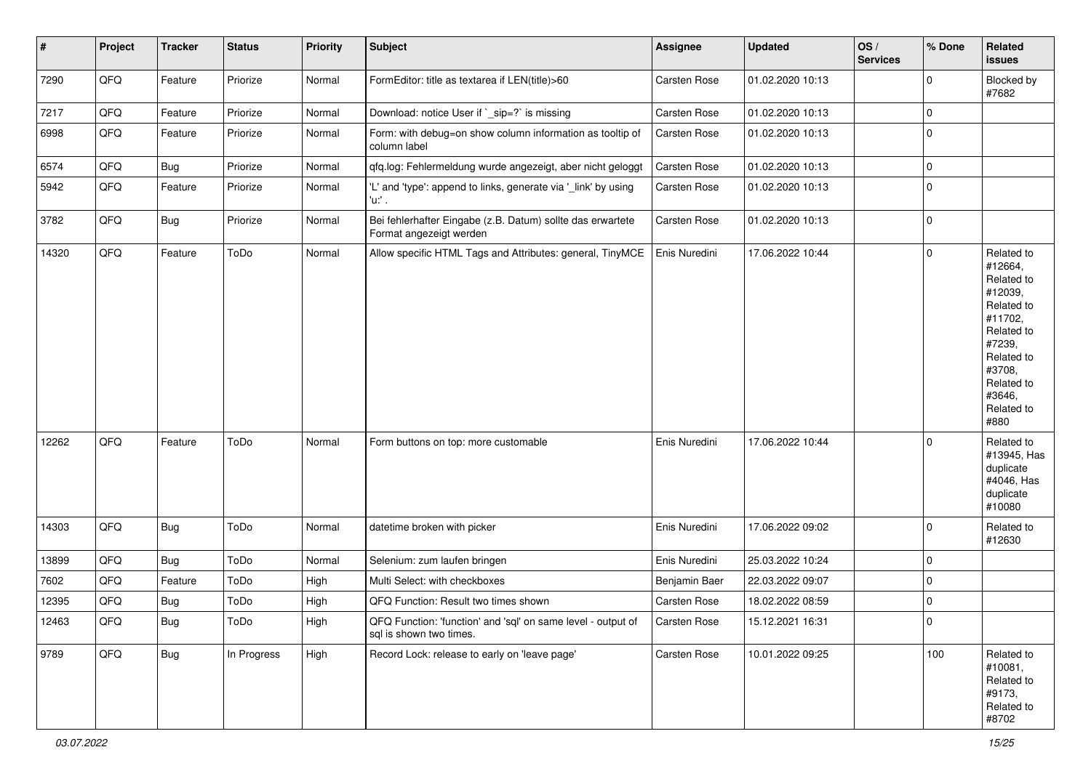| $\sharp$ | Project | <b>Tracker</b> | <b>Status</b> | <b>Priority</b> | Subject                                                                                 | <b>Assignee</b> | <b>Updated</b>   | OS/<br><b>Services</b> | % Done         | Related<br>issues                                                                                                                                                     |
|----------|---------|----------------|---------------|-----------------|-----------------------------------------------------------------------------------------|-----------------|------------------|------------------------|----------------|-----------------------------------------------------------------------------------------------------------------------------------------------------------------------|
| 7290     | QFQ     | Feature        | Priorize      | Normal          | FormEditor: title as textarea if LEN(title)>60                                          | Carsten Rose    | 01.02.2020 10:13 |                        | $\mathbf 0$    | Blocked by<br>#7682                                                                                                                                                   |
| 7217     | QFQ     | Feature        | Priorize      | Normal          | Download: notice User if `_sip=?` is missing                                            | Carsten Rose    | 01.02.2020 10:13 |                        | 0              |                                                                                                                                                                       |
| 6998     | QFQ     | Feature        | Priorize      | Normal          | Form: with debug=on show column information as tooltip of<br>column label               | Carsten Rose    | 01.02.2020 10:13 |                        | $\mathbf 0$    |                                                                                                                                                                       |
| 6574     | QFQ     | <b>Bug</b>     | Priorize      | Normal          | qfq.log: Fehlermeldung wurde angezeigt, aber nicht geloggt                              | Carsten Rose    | 01.02.2020 10:13 |                        | $\mathbf 0$    |                                                                                                                                                                       |
| 5942     | QFQ     | Feature        | Priorize      | Normal          | 'L' and 'type': append to links, generate via '_link' by using<br>'u:' .                | Carsten Rose    | 01.02.2020 10:13 |                        | $\mathbf 0$    |                                                                                                                                                                       |
| 3782     | QFQ     | <b>Bug</b>     | Priorize      | Normal          | Bei fehlerhafter Eingabe (z.B. Datum) sollte das erwartete<br>Format angezeigt werden   | Carsten Rose    | 01.02.2020 10:13 |                        | $\mathbf 0$    |                                                                                                                                                                       |
| 14320    | QFQ     | Feature        | ToDo          | Normal          | Allow specific HTML Tags and Attributes: general, TinyMCE                               | Enis Nuredini   | 17.06.2022 10:44 |                        | $\mathbf 0$    | Related to<br>#12664,<br>Related to<br>#12039,<br>Related to<br>#11702,<br>Related to<br>#7239,<br>Related to<br>#3708,<br>Related to<br>#3646,<br>Related to<br>#880 |
| 12262    | QFQ     | Feature        | ToDo          | Normal          | Form buttons on top: more customable                                                    | Enis Nuredini   | 17.06.2022 10:44 |                        | $\mathbf 0$    | Related to<br>#13945, Has<br>duplicate<br>#4046, Has<br>duplicate<br>#10080                                                                                           |
| 14303    | QFQ     | Bug            | ToDo          | Normal          | datetime broken with picker                                                             | Enis Nuredini   | 17.06.2022 09:02 |                        | $\mathbf 0$    | Related to<br>#12630                                                                                                                                                  |
| 13899    | QFQ     | <b>Bug</b>     | ToDo          | Normal          | Selenium: zum laufen bringen                                                            | Enis Nuredini   | 25.03.2022 10:24 |                        | $\mathbf 0$    |                                                                                                                                                                       |
| 7602     | QFQ     | Feature        | ToDo          | High            | Multi Select: with checkboxes                                                           | Benjamin Baer   | 22.03.2022 09:07 |                        | $\mathbf 0$    |                                                                                                                                                                       |
| 12395    | QFQ     | Bug            | ToDo          | High            | QFQ Function: Result two times shown                                                    | Carsten Rose    | 18.02.2022 08:59 |                        | $\mathbf 0$    |                                                                                                                                                                       |
| 12463    | QFQ     | <b>Bug</b>     | ToDo          | High            | QFQ Function: 'function' and 'sql' on same level - output of<br>sql is shown two times. | Carsten Rose    | 15.12.2021 16:31 |                        | $\overline{0}$ |                                                                                                                                                                       |
| 9789     | QFQ     | <b>Bug</b>     | In Progress   | High            | Record Lock: release to early on 'leave page'                                           | Carsten Rose    | 10.01.2022 09:25 |                        | 100            | Related to<br>#10081,<br>Related to<br>#9173,<br>Related to<br>#8702                                                                                                  |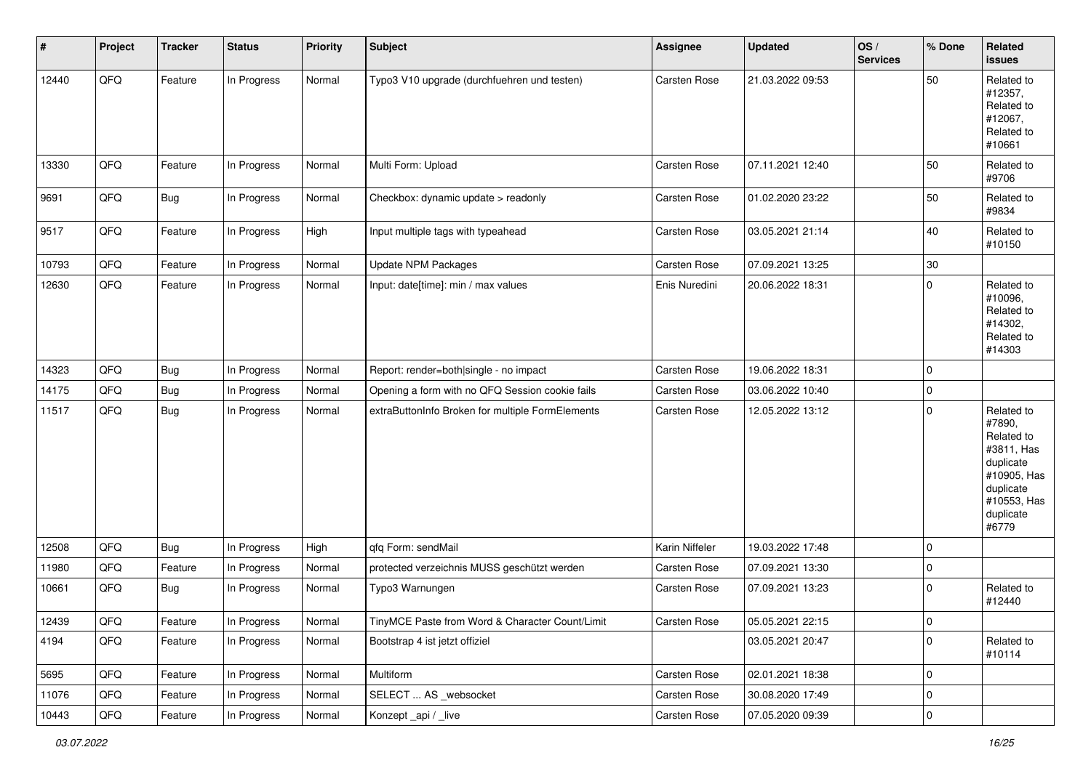| #     | Project | <b>Tracker</b> | <b>Status</b> | <b>Priority</b> | <b>Subject</b>                                   | Assignee            | <b>Updated</b>   | OS/<br><b>Services</b> | % Done      | Related<br><b>issues</b>                                                                                                       |
|-------|---------|----------------|---------------|-----------------|--------------------------------------------------|---------------------|------------------|------------------------|-------------|--------------------------------------------------------------------------------------------------------------------------------|
| 12440 | QFQ     | Feature        | In Progress   | Normal          | Typo3 V10 upgrade (durchfuehren und testen)      | <b>Carsten Rose</b> | 21.03.2022 09:53 |                        | 50          | Related to<br>#12357,<br>Related to<br>#12067,<br>Related to<br>#10661                                                         |
| 13330 | QFQ     | Feature        | In Progress   | Normal          | Multi Form: Upload                               | <b>Carsten Rose</b> | 07.11.2021 12:40 |                        | 50          | Related to<br>#9706                                                                                                            |
| 9691  | QFQ     | <b>Bug</b>     | In Progress   | Normal          | Checkbox: dynamic update > readonly              | <b>Carsten Rose</b> | 01.02.2020 23:22 |                        | 50          | Related to<br>#9834                                                                                                            |
| 9517  | QFQ     | Feature        | In Progress   | High            | Input multiple tags with typeahead               | Carsten Rose        | 03.05.2021 21:14 |                        | 40          | Related to<br>#10150                                                                                                           |
| 10793 | QFQ     | Feature        | In Progress   | Normal          | <b>Update NPM Packages</b>                       | <b>Carsten Rose</b> | 07.09.2021 13:25 |                        | $30\,$      |                                                                                                                                |
| 12630 | QFQ     | Feature        | In Progress   | Normal          | Input: date[time]: min / max values              | Enis Nuredini       | 20.06.2022 18:31 |                        | 0           | Related to<br>#10096,<br>Related to<br>#14302,<br>Related to<br>#14303                                                         |
| 14323 | QFQ     | <b>Bug</b>     | In Progress   | Normal          | Report: render=both single - no impact           | Carsten Rose        | 19.06.2022 18:31 |                        | $\mathbf 0$ |                                                                                                                                |
| 14175 | QFQ     | Bug            | In Progress   | Normal          | Opening a form with no QFQ Session cookie fails  | <b>Carsten Rose</b> | 03.06.2022 10:40 |                        | 0           |                                                                                                                                |
| 11517 | QFQ     | Bug            | In Progress   | Normal          | extraButtonInfo Broken for multiple FormElements | Carsten Rose        | 12.05.2022 13:12 |                        | 0           | Related to<br>#7890,<br>Related to<br>#3811, Has<br>duplicate<br>#10905, Has<br>duplicate<br>#10553, Has<br>duplicate<br>#6779 |
| 12508 | QFQ     | Bug            | In Progress   | High            | qfq Form: sendMail                               | Karin Niffeler      | 19.03.2022 17:48 |                        | $\mathbf 0$ |                                                                                                                                |
| 11980 | QFQ     | Feature        | In Progress   | Normal          | protected verzeichnis MUSS geschützt werden      | <b>Carsten Rose</b> | 07.09.2021 13:30 |                        | $\mathbf 0$ |                                                                                                                                |
| 10661 | QFQ     | <b>Bug</b>     | In Progress   | Normal          | Typo3 Warnungen                                  | Carsten Rose        | 07.09.2021 13:23 |                        | $\mathbf 0$ | Related to<br>#12440                                                                                                           |
| 12439 | QFQ     | Feature        | In Progress   | Normal          | TinyMCE Paste from Word & Character Count/Limit  | <b>Carsten Rose</b> | 05.05.2021 22:15 |                        | $\mathbf 0$ |                                                                                                                                |
| 4194  | QFQ     | Feature        | In Progress   | Normal          | Bootstrap 4 ist jetzt offiziel                   |                     | 03.05.2021 20:47 |                        | $\mathbf 0$ | Related to<br>#10114                                                                                                           |
| 5695  | QFQ     | Feature        | In Progress   | Normal          | Multiform                                        | Carsten Rose        | 02.01.2021 18:38 |                        | $\mathbf 0$ |                                                                                                                                |
| 11076 | QFQ     | Feature        | In Progress   | Normal          | SELECT  AS _websocket                            | Carsten Rose        | 30.08.2020 17:49 |                        | $\mathbf 0$ |                                                                                                                                |
| 10443 | QFQ     | Feature        | In Progress   | Normal          | Konzept_api / _live                              | Carsten Rose        | 07.05.2020 09:39 |                        | $\pmb{0}$   |                                                                                                                                |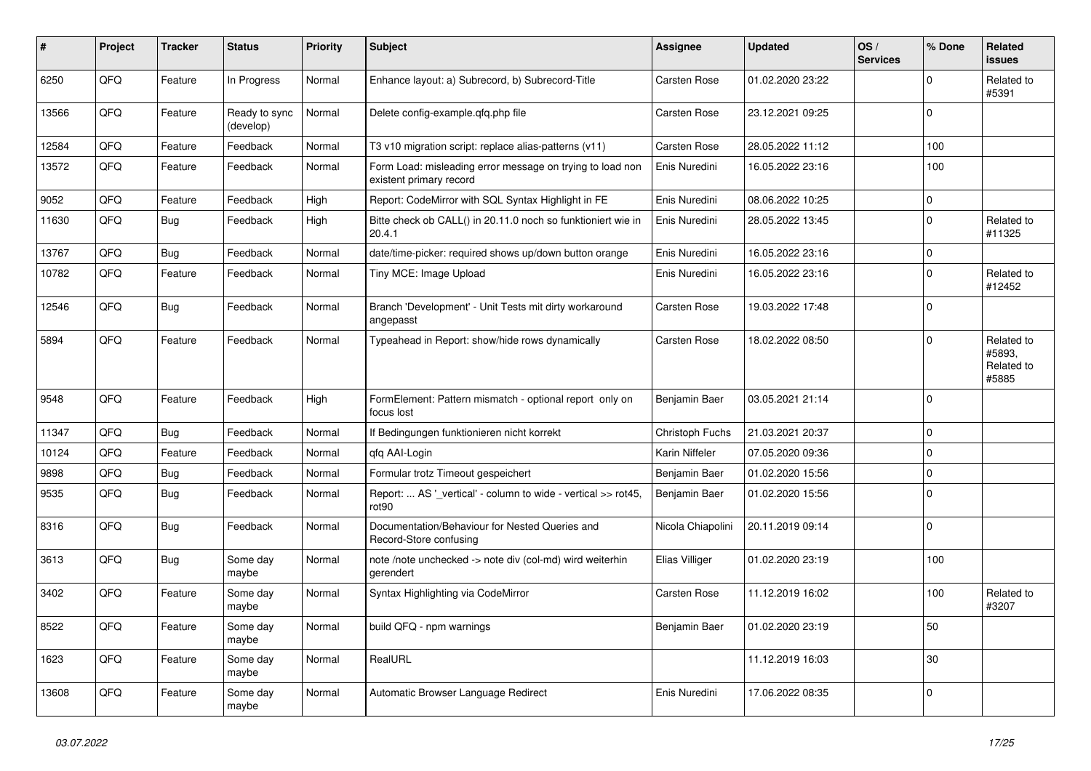| ∦     | Project | <b>Tracker</b> | <b>Status</b>              | <b>Priority</b> | <b>Subject</b>                                                                       | <b>Assignee</b>     | <b>Updated</b>   | OS/<br><b>Services</b> | % Done      | <b>Related</b><br><b>issues</b>             |
|-------|---------|----------------|----------------------------|-----------------|--------------------------------------------------------------------------------------|---------------------|------------------|------------------------|-------------|---------------------------------------------|
| 6250  | QFQ     | Feature        | In Progress                | Normal          | Enhance layout: a) Subrecord, b) Subrecord-Title                                     | <b>Carsten Rose</b> | 01.02.2020 23:22 |                        | $\Omega$    | Related to<br>#5391                         |
| 13566 | QFQ     | Feature        | Ready to sync<br>(develop) | Normal          | Delete config-example.qfq.php file                                                   | <b>Carsten Rose</b> | 23.12.2021 09:25 |                        | $\Omega$    |                                             |
| 12584 | QFQ     | Feature        | Feedback                   | Normal          | T3 v10 migration script: replace alias-patterns (v11)                                | Carsten Rose        | 28.05.2022 11:12 |                        | 100         |                                             |
| 13572 | QFO     | Feature        | Feedback                   | Normal          | Form Load: misleading error message on trying to load non<br>existent primary record | Enis Nuredini       | 16.05.2022 23:16 |                        | 100         |                                             |
| 9052  | QFQ     | Feature        | Feedback                   | High            | Report: CodeMirror with SQL Syntax Highlight in FE                                   | Enis Nuredini       | 08.06.2022 10:25 |                        | $\pmb{0}$   |                                             |
| 11630 | QFQ     | <b>Bug</b>     | Feedback                   | High            | Bitte check ob CALL() in 20.11.0 noch so funktioniert wie in<br>20.4.1               | Enis Nuredini       | 28.05.2022 13:45 |                        | $\Omega$    | Related to<br>#11325                        |
| 13767 | QFQ     | <b>Bug</b>     | Feedback                   | Normal          | date/time-picker: required shows up/down button orange                               | Enis Nuredini       | 16.05.2022 23:16 |                        | $\mathbf 0$ |                                             |
| 10782 | QFQ     | Feature        | Feedback                   | Normal          | Tiny MCE: Image Upload                                                               | Enis Nuredini       | 16.05.2022 23:16 |                        | $\Omega$    | Related to<br>#12452                        |
| 12546 | QFQ     | Bug            | Feedback                   | Normal          | Branch 'Development' - Unit Tests mit dirty workaround<br>angepasst                  | <b>Carsten Rose</b> | 19.03.2022 17:48 |                        | $\mathbf 0$ |                                             |
| 5894  | QFQ     | Feature        | Feedback                   | Normal          | Typeahead in Report: show/hide rows dynamically                                      | Carsten Rose        | 18.02.2022 08:50 |                        | $\Omega$    | Related to<br>#5893.<br>Related to<br>#5885 |
| 9548  | QFQ     | Feature        | Feedback                   | High            | FormElement: Pattern mismatch - optional report only on<br>focus lost                | Benjamin Baer       | 03.05.2021 21:14 |                        | $\Omega$    |                                             |
| 11347 | QFQ     | <b>Bug</b>     | Feedback                   | Normal          | If Bedingungen funktionieren nicht korrekt                                           | Christoph Fuchs     | 21.03.2021 20:37 |                        | $\mathbf 0$ |                                             |
| 10124 | QFQ     | Feature        | Feedback                   | Normal          | qfq AAI-Login                                                                        | Karin Niffeler      | 07.05.2020 09:36 |                        | $\mathbf 0$ |                                             |
| 9898  | QFQ     | <b>Bug</b>     | Feedback                   | Normal          | Formular trotz Timeout gespeichert                                                   | Benjamin Baer       | 01.02.2020 15:56 |                        | $\mathbf 0$ |                                             |
| 9535  | QFQ     | Bug            | Feedback                   | Normal          | Report:  AS ' vertical' - column to wide - vertical >> rot45,<br>rot90               | Benjamin Baer       | 01.02.2020 15:56 |                        | $\mathbf 0$ |                                             |
| 8316  | QFQ     | Bug            | Feedback                   | Normal          | Documentation/Behaviour for Nested Queries and<br>Record-Store confusing             | Nicola Chiapolini   | 20.11.2019 09:14 |                        | $\Omega$    |                                             |
| 3613  | QFQ     | <b>Bug</b>     | Some day<br>maybe          | Normal          | note /note unchecked -> note div (col-md) wird weiterhin<br>gerendert                | Elias Villiger      | 01.02.2020 23:19 |                        | 100         |                                             |
| 3402  | QFQ     | Feature        | Some day<br>maybe          | Normal          | Syntax Highlighting via CodeMirror                                                   | Carsten Rose        | 11.12.2019 16:02 |                        | 100         | Related to<br>#3207                         |
| 8522  | QFQ     | Feature        | Some day<br>maybe          | Normal          | build QFQ - npm warnings                                                             | Benjamin Baer       | 01.02.2020 23:19 |                        | 50          |                                             |
| 1623  | QFQ     | Feature        | Some day<br>maybe          | Normal          | RealURL                                                                              |                     | 11.12.2019 16:03 |                        | 30          |                                             |
| 13608 | QFQ     | Feature        | Some day<br>maybe          | Normal          | Automatic Browser Language Redirect                                                  | Enis Nuredini       | 17.06.2022 08:35 |                        | 0           |                                             |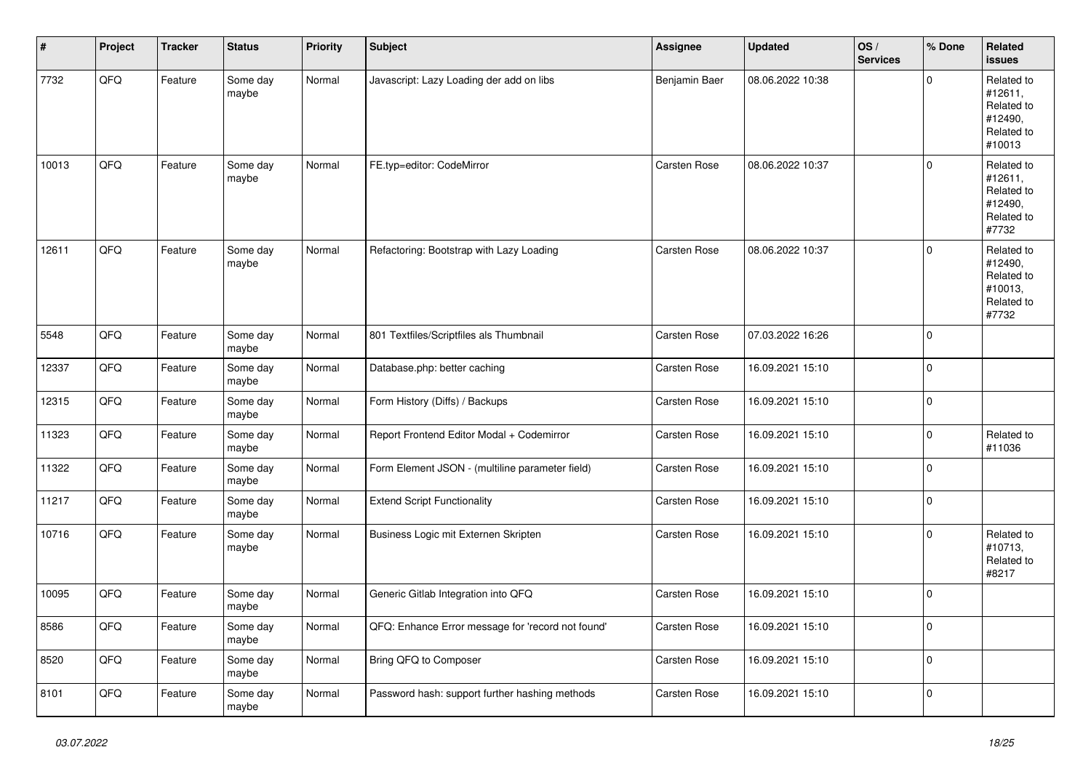| $\vert$ # | Project | <b>Tracker</b> | <b>Status</b>     | <b>Priority</b> | <b>Subject</b>                                    | <b>Assignee</b>     | <b>Updated</b>   | OS/<br><b>Services</b> | % Done       | Related<br><b>issues</b>                                               |
|-----------|---------|----------------|-------------------|-----------------|---------------------------------------------------|---------------------|------------------|------------------------|--------------|------------------------------------------------------------------------|
| 7732      | QFQ     | Feature        | Some day<br>maybe | Normal          | Javascript: Lazy Loading der add on libs          | Benjamin Baer       | 08.06.2022 10:38 |                        | $\mathbf{0}$ | Related to<br>#12611,<br>Related to<br>#12490,<br>Related to<br>#10013 |
| 10013     | QFQ     | Feature        | Some day<br>maybe | Normal          | FE.typ=editor: CodeMirror                         | Carsten Rose        | 08.06.2022 10:37 |                        | $\mathbf 0$  | Related to<br>#12611,<br>Related to<br>#12490,<br>Related to<br>#7732  |
| 12611     | QFQ     | Feature        | Some day<br>maybe | Normal          | Refactoring: Bootstrap with Lazy Loading          | <b>Carsten Rose</b> | 08.06.2022 10:37 |                        | $\mathbf{0}$ | Related to<br>#12490,<br>Related to<br>#10013,<br>Related to<br>#7732  |
| 5548      | QFQ     | Feature        | Some day<br>maybe | Normal          | 801 Textfiles/Scriptfiles als Thumbnail           | Carsten Rose        | 07.03.2022 16:26 |                        | $\Omega$     |                                                                        |
| 12337     | QFQ     | Feature        | Some day<br>maybe | Normal          | Database.php: better caching                      | Carsten Rose        | 16.09.2021 15:10 |                        | $\mathbf{0}$ |                                                                        |
| 12315     | QFQ     | Feature        | Some day<br>maybe | Normal          | Form History (Diffs) / Backups                    | Carsten Rose        | 16.09.2021 15:10 |                        | $\mathbf{0}$ |                                                                        |
| 11323     | QFQ     | Feature        | Some day<br>maybe | Normal          | Report Frontend Editor Modal + Codemirror         | Carsten Rose        | 16.09.2021 15:10 |                        | $\mathsf 0$  | Related to<br>#11036                                                   |
| 11322     | QFQ     | Feature        | Some day<br>maybe | Normal          | Form Element JSON - (multiline parameter field)   | Carsten Rose        | 16.09.2021 15:10 |                        | $\mathsf 0$  |                                                                        |
| 11217     | QFQ     | Feature        | Some day<br>maybe | Normal          | <b>Extend Script Functionality</b>                | Carsten Rose        | 16.09.2021 15:10 |                        | $\mathbf 0$  |                                                                        |
| 10716     | QFQ     | Feature        | Some day<br>maybe | Normal          | Business Logic mit Externen Skripten              | Carsten Rose        | 16.09.2021 15:10 |                        | $\mathbf 0$  | Related to<br>#10713,<br>Related to<br>#8217                           |
| 10095     | QFQ     | Feature        | Some day<br>maybe | Normal          | Generic Gitlab Integration into QFQ               | <b>Carsten Rose</b> | 16.09.2021 15:10 |                        | $\mathbf{0}$ |                                                                        |
| 8586      | QFQ     | Feature        | Some day<br>maybe | Normal          | QFQ: Enhance Error message for 'record not found' | Carsten Rose        | 16.09.2021 15:10 |                        | $\mathbf{0}$ |                                                                        |
| 8520      | QFQ     | Feature        | Some day<br>maybe | Normal          | Bring QFQ to Composer                             | Carsten Rose        | 16.09.2021 15:10 |                        | $\mathbf{0}$ |                                                                        |
| 8101      | QFQ     | Feature        | Some day<br>maybe | Normal          | Password hash: support further hashing methods    | Carsten Rose        | 16.09.2021 15:10 |                        | 0            |                                                                        |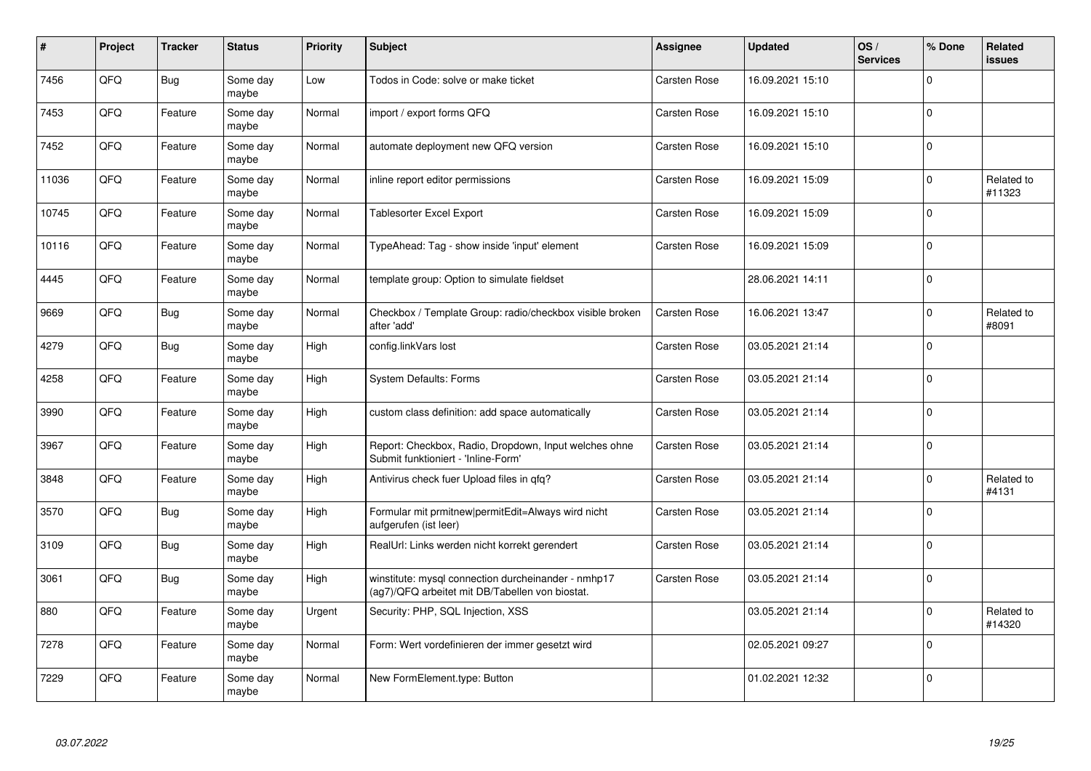| #     | Project | <b>Tracker</b> | <b>Status</b>     | <b>Priority</b> | <b>Subject</b>                                                                                         | <b>Assignee</b>     | <b>Updated</b>   | OS/<br><b>Services</b> | % Done      | <b>Related</b><br><b>issues</b> |
|-------|---------|----------------|-------------------|-----------------|--------------------------------------------------------------------------------------------------------|---------------------|------------------|------------------------|-------------|---------------------------------|
| 7456  | QFQ     | Bug            | Some day<br>maybe | Low             | Todos in Code: solve or make ticket                                                                    | Carsten Rose        | 16.09.2021 15:10 |                        | 0           |                                 |
| 7453  | QFQ     | Feature        | Some day<br>maybe | Normal          | import / export forms QFQ                                                                              | Carsten Rose        | 16.09.2021 15:10 |                        | $\mathbf 0$ |                                 |
| 7452  | QFQ     | Feature        | Some day<br>maybe | Normal          | automate deployment new QFQ version                                                                    | Carsten Rose        | 16.09.2021 15:10 |                        | $\Omega$    |                                 |
| 11036 | QFQ     | Feature        | Some day<br>maybe | Normal          | inline report editor permissions                                                                       | Carsten Rose        | 16.09.2021 15:09 |                        | $\Omega$    | Related to<br>#11323            |
| 10745 | QFQ     | Feature        | Some day<br>maybe | Normal          | Tablesorter Excel Export                                                                               | <b>Carsten Rose</b> | 16.09.2021 15:09 |                        | $\mathbf 0$ |                                 |
| 10116 | QFQ     | Feature        | Some day<br>maybe | Normal          | TypeAhead: Tag - show inside 'input' element                                                           | Carsten Rose        | 16.09.2021 15:09 |                        | $\Omega$    |                                 |
| 4445  | QFQ     | Feature        | Some day<br>maybe | Normal          | template group: Option to simulate fieldset                                                            |                     | 28.06.2021 14:11 |                        | $\mathbf 0$ |                                 |
| 9669  | QFQ     | Bug            | Some day<br>maybe | Normal          | Checkbox / Template Group: radio/checkbox visible broken<br>after 'add'                                | Carsten Rose        | 16.06.2021 13:47 |                        | 0           | Related to<br>#8091             |
| 4279  | QFQ     | Bug            | Some day<br>maybe | High            | config.linkVars lost                                                                                   | Carsten Rose        | 03.05.2021 21:14 |                        | $\Omega$    |                                 |
| 4258  | QFQ     | Feature        | Some day<br>maybe | High            | <b>System Defaults: Forms</b>                                                                          | Carsten Rose        | 03.05.2021 21:14 |                        | 0           |                                 |
| 3990  | QFQ     | Feature        | Some day<br>maybe | High            | custom class definition: add space automatically                                                       | Carsten Rose        | 03.05.2021 21:14 |                        | $\mathbf 0$ |                                 |
| 3967  | QFQ     | Feature        | Some day<br>maybe | High            | Report: Checkbox, Radio, Dropdown, Input welches ohne<br>Submit funktioniert - 'Inline-Form'           | Carsten Rose        | 03.05.2021 21:14 |                        | $\Omega$    |                                 |
| 3848  | QFQ     | Feature        | Some day<br>maybe | High            | Antivirus check fuer Upload files in qfq?                                                              | Carsten Rose        | 03.05.2021 21:14 |                        | $\mathbf 0$ | Related to<br>#4131             |
| 3570  | QFQ     | Bug            | Some day<br>maybe | High            | Formular mit prmitnew permitEdit=Always wird nicht<br>aufgerufen (ist leer)                            | Carsten Rose        | 03.05.2021 21:14 |                        | $\mathbf 0$ |                                 |
| 3109  | QFQ     | Bug            | Some day<br>maybe | High            | RealUrl: Links werden nicht korrekt gerendert                                                          | Carsten Rose        | 03.05.2021 21:14 |                        | $\Omega$    |                                 |
| 3061  | QFQ     | <b>Bug</b>     | Some day<br>maybe | High            | winstitute: mysql connection durcheinander - nmhp17<br>(ag7)/QFQ arbeitet mit DB/Tabellen von biostat. | Carsten Rose        | 03.05.2021 21:14 |                        | $\Omega$    |                                 |
| 880   | QFQ     | Feature        | Some day<br>maybe | Urgent          | Security: PHP, SQL Injection, XSS                                                                      |                     | 03.05.2021 21:14 |                        | $\Omega$    | Related to<br>#14320            |
| 7278  | QFO     | Feature        | Some day<br>maybe | Normal          | Form: Wert vordefinieren der immer gesetzt wird                                                        |                     | 02.05.2021 09:27 |                        | $\Omega$    |                                 |
| 7229  | QFQ     | Feature        | Some day<br>maybe | Normal          | New FormElement.type: Button                                                                           |                     | 01.02.2021 12:32 |                        | $\Omega$    |                                 |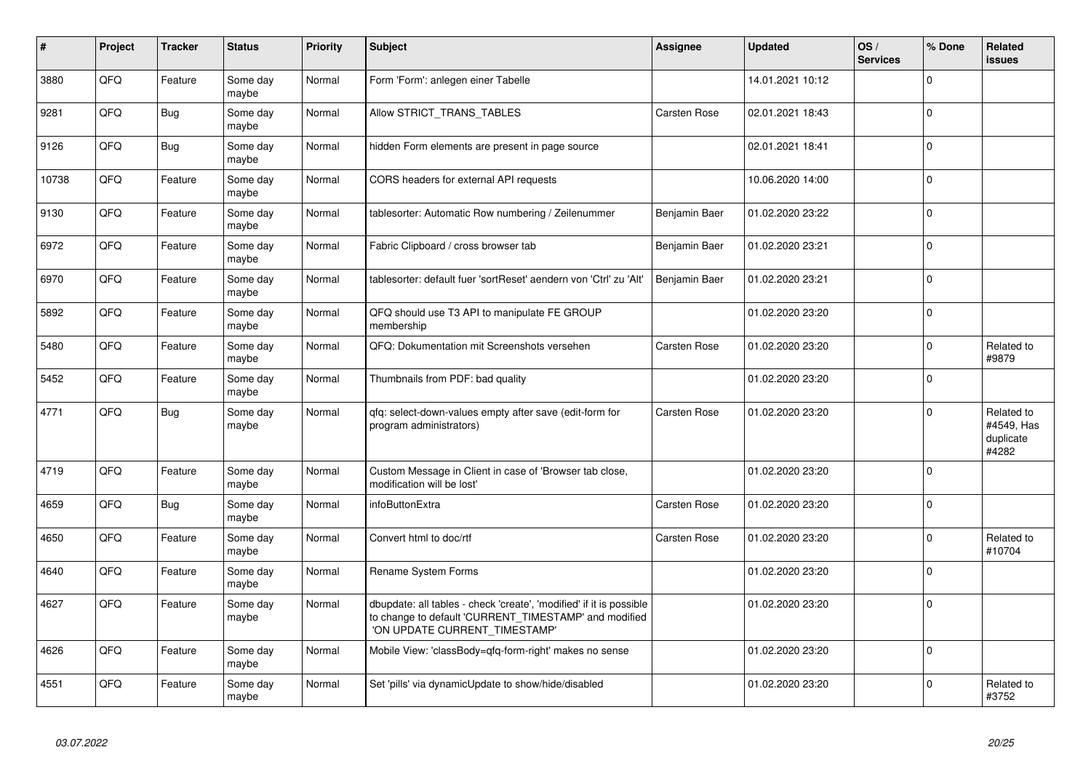| #     | Project | <b>Tracker</b> | <b>Status</b>     | <b>Priority</b> | <b>Subject</b>                                                                                                                                                | <b>Assignee</b>     | <b>Updated</b>   | OS/<br><b>Services</b> | % Done      | <b>Related</b><br><b>issues</b>                |
|-------|---------|----------------|-------------------|-----------------|---------------------------------------------------------------------------------------------------------------------------------------------------------------|---------------------|------------------|------------------------|-------------|------------------------------------------------|
| 3880  | QFQ     | Feature        | Some day<br>maybe | Normal          | Form 'Form': anlegen einer Tabelle                                                                                                                            |                     | 14.01.2021 10:12 |                        | $\mathbf 0$ |                                                |
| 9281  | QFQ     | Bug            | Some dav<br>maybe | Normal          | Allow STRICT_TRANS_TABLES                                                                                                                                     | Carsten Rose        | 02.01.2021 18:43 |                        | $\mathbf 0$ |                                                |
| 9126  | QFQ     | <b>Bug</b>     | Some dav<br>maybe | Normal          | hidden Form elements are present in page source                                                                                                               |                     | 02.01.2021 18:41 |                        | $\mathbf 0$ |                                                |
| 10738 | QFQ     | Feature        | Some day<br>maybe | Normal          | CORS headers for external API requests                                                                                                                        |                     | 10.06.2020 14:00 |                        | $\Omega$    |                                                |
| 9130  | QFQ     | Feature        | Some day<br>maybe | Normal          | tablesorter: Automatic Row numbering / Zeilenummer                                                                                                            | Benjamin Baer       | 01.02.2020 23:22 |                        | $\Omega$    |                                                |
| 6972  | QFQ     | Feature        | Some day<br>maybe | Normal          | Fabric Clipboard / cross browser tab                                                                                                                          | Benjamin Baer       | 01.02.2020 23:21 |                        | $\mathbf 0$ |                                                |
| 6970  | QFQ     | Feature        | Some day<br>maybe | Normal          | tablesorter: default fuer 'sortReset' aendern von 'Ctrl' zu 'Alt'                                                                                             | Benjamin Baer       | 01.02.2020 23:21 |                        | $\mathbf 0$ |                                                |
| 5892  | QFQ     | Feature        | Some day<br>maybe | Normal          | QFQ should use T3 API to manipulate FE GROUP<br>membership                                                                                                    |                     | 01.02.2020 23:20 |                        | $\mathbf 0$ |                                                |
| 5480  | QFQ     | Feature        | Some dav<br>maybe | Normal          | QFQ: Dokumentation mit Screenshots versehen                                                                                                                   | <b>Carsten Rose</b> | 01.02.2020 23:20 |                        | $\mathbf 0$ | Related to<br>#9879                            |
| 5452  | QFQ     | Feature        | Some dav<br>maybe | Normal          | Thumbnails from PDF: bad quality                                                                                                                              |                     | 01.02.2020 23:20 |                        | $\mathbf 0$ |                                                |
| 4771  | QFQ     | <b>Bug</b>     | Some day<br>maybe | Normal          | qfq: select-down-values empty after save (edit-form for<br>program administrators)                                                                            | Carsten Rose        | 01.02.2020 23:20 |                        | $\Omega$    | Related to<br>#4549, Has<br>duplicate<br>#4282 |
| 4719  | QFQ     | Feature        | Some day<br>maybe | Normal          | Custom Message in Client in case of 'Browser tab close,<br>modification will be lost'                                                                         |                     | 01.02.2020 23:20 |                        | $\mathbf 0$ |                                                |
| 4659  | QFQ     | <b>Bug</b>     | Some day<br>maybe | Normal          | infoButtonExtra                                                                                                                                               | Carsten Rose        | 01.02.2020 23:20 |                        | $\mathbf 0$ |                                                |
| 4650  | QFQ     | Feature        | Some day<br>maybe | Normal          | Convert html to doc/rtf                                                                                                                                       | <b>Carsten Rose</b> | 01.02.2020 23:20 |                        | $\pmb{0}$   | Related to<br>#10704                           |
| 4640  | QFQ     | Feature        | Some day<br>maybe | Normal          | Rename System Forms                                                                                                                                           |                     | 01.02.2020 23:20 |                        | $\pmb{0}$   |                                                |
| 4627  | QFQ     | Feature        | Some day<br>maybe | Normal          | dbupdate: all tables - check 'create', 'modified' if it is possible<br>to change to default 'CURRENT_TIMESTAMP' and modified<br>'ON UPDATE CURRENT TIMESTAMP' |                     | 01.02.2020 23:20 |                        | $\Omega$    |                                                |
| 4626  | QFQ     | Feature        | Some day<br>maybe | Normal          | Mobile View: 'classBody=qfq-form-right' makes no sense                                                                                                        |                     | 01.02.2020 23:20 |                        | $\mathbf 0$ |                                                |
| 4551  | QFQ     | Feature        | Some day<br>maybe | Normal          | Set 'pills' via dynamicUpdate to show/hide/disabled                                                                                                           |                     | 01.02.2020 23:20 |                        | $\mathbf 0$ | Related to<br>#3752                            |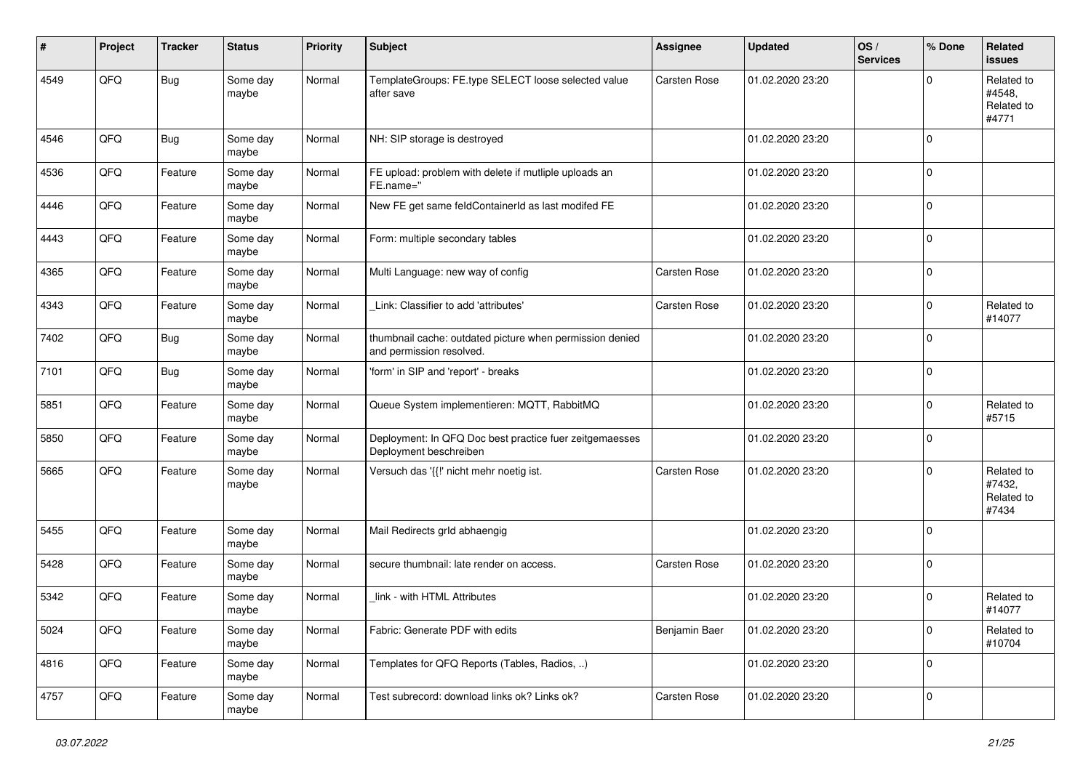| #    | Project | <b>Tracker</b> | <b>Status</b>     | <b>Priority</b> | Subject                                                                              | <b>Assignee</b>     | <b>Updated</b>   | OS/<br><b>Services</b> | % Done      | <b>Related</b><br>issues                    |
|------|---------|----------------|-------------------|-----------------|--------------------------------------------------------------------------------------|---------------------|------------------|------------------------|-------------|---------------------------------------------|
| 4549 | QFQ     | <b>Bug</b>     | Some day<br>maybe | Normal          | TemplateGroups: FE.type SELECT loose selected value<br>after save                    | Carsten Rose        | 01.02.2020 23:20 |                        | 0           | Related to<br>#4548.<br>Related to<br>#4771 |
| 4546 | QFQ     | Bug            | Some day<br>maybe | Normal          | NH: SIP storage is destroyed                                                         |                     | 01.02.2020 23:20 |                        | 0           |                                             |
| 4536 | QFQ     | Feature        | Some day<br>maybe | Normal          | FE upload: problem with delete if mutliple uploads an<br>FE.name="                   |                     | 01.02.2020 23:20 |                        | 0           |                                             |
| 4446 | QFQ     | Feature        | Some day<br>maybe | Normal          | New FE get same feldContainerId as last modifed FE                                   |                     | 01.02.2020 23:20 |                        | $\mathbf 0$ |                                             |
| 4443 | QFQ     | Feature        | Some day<br>maybe | Normal          | Form: multiple secondary tables                                                      |                     | 01.02.2020 23:20 |                        | 0           |                                             |
| 4365 | QFQ     | Feature        | Some day<br>maybe | Normal          | Multi Language: new way of config                                                    | Carsten Rose        | 01.02.2020 23:20 |                        | 0           |                                             |
| 4343 | QFQ     | Feature        | Some day<br>maybe | Normal          | Link: Classifier to add 'attributes'                                                 | Carsten Rose        | 01.02.2020 23:20 |                        | $\mathbf 0$ | Related to<br>#14077                        |
| 7402 | QFQ     | Bug            | Some day<br>maybe | Normal          | thumbnail cache: outdated picture when permission denied<br>and permission resolved. |                     | 01.02.2020 23:20 |                        | $\Omega$    |                                             |
| 7101 | QFQ     | <b>Bug</b>     | Some day<br>maybe | Normal          | 'form' in SIP and 'report' - breaks                                                  |                     | 01.02.2020 23:20 |                        | $\mathbf 0$ |                                             |
| 5851 | QFQ     | Feature        | Some day<br>maybe | Normal          | Queue System implementieren: MQTT, RabbitMQ                                          |                     | 01.02.2020 23:20 |                        | $\mathbf 0$ | Related to<br>#5715                         |
| 5850 | QFQ     | Feature        | Some day<br>maybe | Normal          | Deployment: In QFQ Doc best practice fuer zeitgemaesses<br>Deployment beschreiben    |                     | 01.02.2020 23:20 |                        | $\mathbf 0$ |                                             |
| 5665 | QFQ     | Feature        | Some day<br>maybe | Normal          | Versuch das '{{!' nicht mehr noetig ist.                                             | Carsten Rose        | 01.02.2020 23:20 |                        | 0           | Related to<br>#7432,<br>Related to<br>#7434 |
| 5455 | QFQ     | Feature        | Some day<br>maybe | Normal          | Mail Redirects grld abhaengig                                                        |                     | 01.02.2020 23:20 |                        | $\mathbf 0$ |                                             |
| 5428 | QFQ     | Feature        | Some day<br>maybe | Normal          | secure thumbnail: late render on access.                                             | <b>Carsten Rose</b> | 01.02.2020 23:20 |                        | $\mathbf 0$ |                                             |
| 5342 | QFQ     | Feature        | Some day<br>maybe | Normal          | link - with HTML Attributes                                                          |                     | 01.02.2020 23:20 |                        | 0           | Related to<br>#14077                        |
| 5024 | QFO     | Feature        | Some day<br>maybe | Normal          | Fabric: Generate PDF with edits                                                      | Benjamin Baer       | 01.02.2020 23:20 |                        | 0           | Related to<br>#10704                        |
| 4816 | QFO     | Feature        | Some day<br>maybe | Normal          | Templates for QFQ Reports (Tables, Radios, )                                         |                     | 01.02.2020 23:20 |                        | 0           |                                             |
| 4757 | QFQ     | Feature        | Some day<br>maybe | Normal          | Test subrecord: download links ok? Links ok?                                         | Carsten Rose        | 01.02.2020 23:20 |                        | 0           |                                             |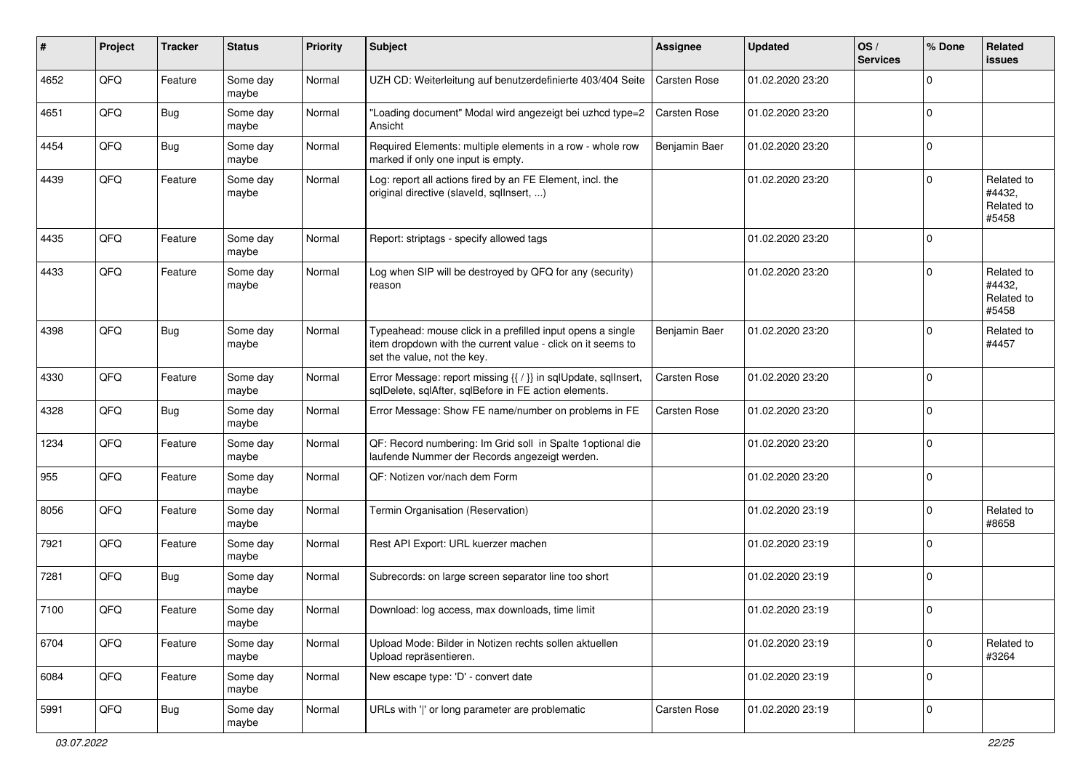| #    | Project | <b>Tracker</b> | <b>Status</b>     | <b>Priority</b> | <b>Subject</b>                                                                                                                                           | <b>Assignee</b> | <b>Updated</b>   | OS/<br><b>Services</b> | % Done       | Related<br><b>issues</b>                    |
|------|---------|----------------|-------------------|-----------------|----------------------------------------------------------------------------------------------------------------------------------------------------------|-----------------|------------------|------------------------|--------------|---------------------------------------------|
| 4652 | QFQ     | Feature        | Some day<br>maybe | Normal          | UZH CD: Weiterleitung auf benutzerdefinierte 403/404 Seite                                                                                               | Carsten Rose    | 01.02.2020 23:20 |                        | $\Omega$     |                                             |
| 4651 | QFQ     | Bug            | Some day<br>maybe | Normal          | "Loading document" Modal wird angezeigt bei uzhcd type=2<br>Ansicht                                                                                      | Carsten Rose    | 01.02.2020 23:20 |                        | $\mathbf 0$  |                                             |
| 4454 | QFQ     | Bug            | Some day<br>maybe | Normal          | Required Elements: multiple elements in a row - whole row<br>marked if only one input is empty.                                                          | Benjamin Baer   | 01.02.2020 23:20 |                        | $\mathbf 0$  |                                             |
| 4439 | QFQ     | Feature        | Some day<br>maybe | Normal          | Log: report all actions fired by an FE Element, incl. the<br>original directive (slaveld, sqllnsert, )                                                   |                 | 01.02.2020 23:20 |                        | $\mathbf 0$  | Related to<br>#4432,<br>Related to<br>#5458 |
| 4435 | QFQ     | Feature        | Some day<br>maybe | Normal          | Report: striptags - specify allowed tags                                                                                                                 |                 | 01.02.2020 23:20 |                        | $\Omega$     |                                             |
| 4433 | QFQ     | Feature        | Some day<br>maybe | Normal          | Log when SIP will be destroyed by QFQ for any (security)<br>reason                                                                                       |                 | 01.02.2020 23:20 |                        | $\mathbf 0$  | Related to<br>#4432,<br>Related to<br>#5458 |
| 4398 | QFQ     | Bug            | Some day<br>maybe | Normal          | Typeahead: mouse click in a prefilled input opens a single<br>item dropdown with the current value - click on it seems to<br>set the value, not the key. | Benjamin Baer   | 01.02.2020 23:20 |                        | 0            | Related to<br>#4457                         |
| 4330 | QFQ     | Feature        | Some day<br>maybe | Normal          | Error Message: report missing {{ / }} in sqlUpdate, sqlInsert,<br>sqlDelete, sqlAfter, sqlBefore in FE action elements.                                  | Carsten Rose    | 01.02.2020 23:20 |                        | $\mathbf 0$  |                                             |
| 4328 | QFQ     | <b>Bug</b>     | Some day<br>maybe | Normal          | Error Message: Show FE name/number on problems in FE                                                                                                     | Carsten Rose    | 01.02.2020 23:20 |                        | 0            |                                             |
| 1234 | QFQ     | Feature        | Some day<br>maybe | Normal          | QF: Record numbering: Im Grid soll in Spalte 1 optional die<br>laufende Nummer der Records angezeigt werden.                                             |                 | 01.02.2020 23:20 |                        | 0            |                                             |
| 955  | QFQ     | Feature        | Some day<br>maybe | Normal          | QF: Notizen vor/nach dem Form                                                                                                                            |                 | 01.02.2020 23:20 |                        | $\mathbf 0$  |                                             |
| 8056 | QFQ     | Feature        | Some day<br>maybe | Normal          | Termin Organisation (Reservation)                                                                                                                        |                 | 01.02.2020 23:19 |                        | $\mathbf 0$  | Related to<br>#8658                         |
| 7921 | QFQ     | Feature        | Some day<br>maybe | Normal          | Rest API Export: URL kuerzer machen                                                                                                                      |                 | 01.02.2020 23:19 |                        | $\mathbf 0$  |                                             |
| 7281 | QFQ     | <b>Bug</b>     | Some day<br>maybe | Normal          | Subrecords: on large screen separator line too short                                                                                                     |                 | 01.02.2020 23:19 |                        | $\mathbf{0}$ |                                             |
| 7100 | QFQ     | Feature        | Some day<br>maybe | Normal          | Download: log access, max downloads, time limit                                                                                                          |                 | 01.02.2020 23:19 |                        | $\mathbf 0$  |                                             |
| 6704 | QFO     | Feature        | Some day<br>maybe | Normal          | Upload Mode: Bilder in Notizen rechts sollen aktuellen<br>Upload repräsentieren.                                                                         |                 | 01.02.2020 23:19 |                        | $\mathbf 0$  | Related to<br>#3264                         |
| 6084 | QFQ     | Feature        | Some day<br>maybe | Normal          | New escape type: 'D' - convert date                                                                                                                      |                 | 01.02.2020 23:19 |                        | $\mathbf 0$  |                                             |
| 5991 | QFO     | <b>Bug</b>     | Some day<br>maybe | Normal          | URLs with ' ' or long parameter are problematic                                                                                                          | Carsten Rose    | 01.02.2020 23:19 |                        | $\mathbf 0$  |                                             |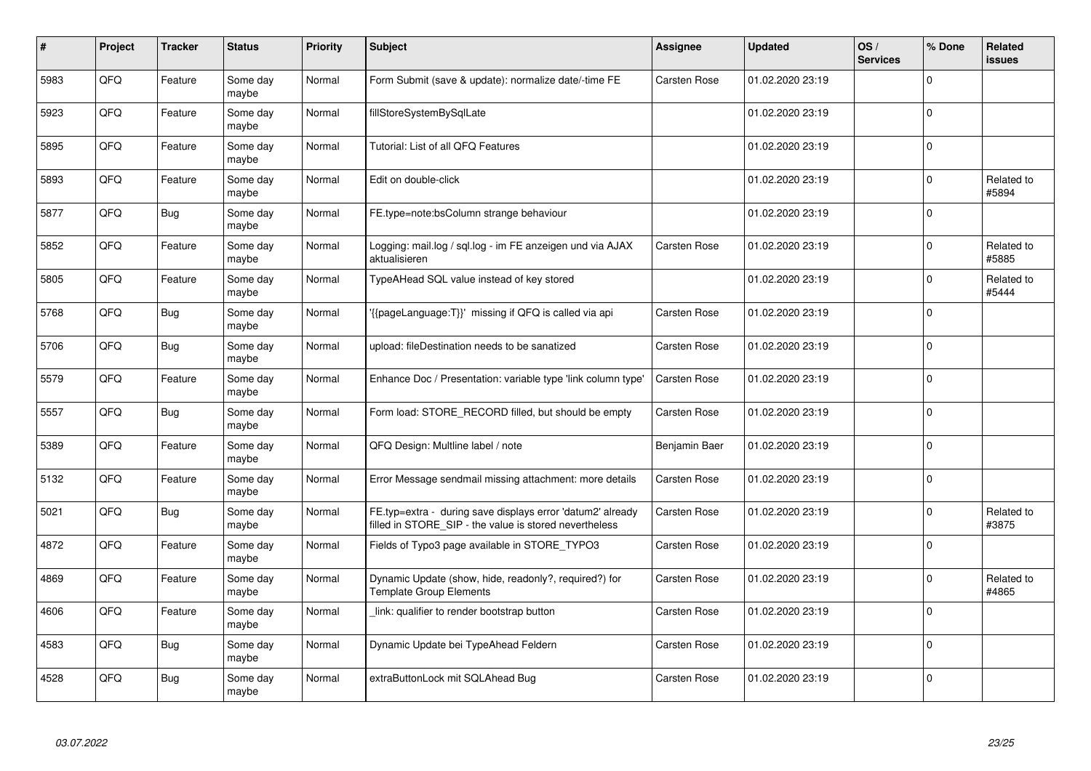| $\#$ | Project | <b>Tracker</b> | <b>Status</b>     | <b>Priority</b> | <b>Subject</b>                                                                                                       | <b>Assignee</b>     | <b>Updated</b>   | OS/<br><b>Services</b> | % Done         | <b>Related</b><br><b>issues</b> |
|------|---------|----------------|-------------------|-----------------|----------------------------------------------------------------------------------------------------------------------|---------------------|------------------|------------------------|----------------|---------------------------------|
| 5983 | QFQ     | Feature        | Some day<br>maybe | Normal          | Form Submit (save & update): normalize date/-time FE                                                                 | <b>Carsten Rose</b> | 01.02.2020 23:19 |                        | $\Omega$       |                                 |
| 5923 | QFQ     | Feature        | Some day<br>maybe | Normal          | fillStoreSystemBySqlLate                                                                                             |                     | 01.02.2020 23:19 |                        | $\Omega$       |                                 |
| 5895 | QFQ     | Feature        | Some day<br>maybe | Normal          | Tutorial: List of all QFQ Features                                                                                   |                     | 01.02.2020 23:19 |                        | $\Omega$       |                                 |
| 5893 | QFQ     | Feature        | Some day<br>maybe | Normal          | Edit on double-click                                                                                                 |                     | 01.02.2020 23:19 |                        | 0              | Related to<br>#5894             |
| 5877 | QFQ     | <b>Bug</b>     | Some day<br>maybe | Normal          | FE.type=note:bsColumn strange behaviour                                                                              |                     | 01.02.2020 23:19 |                        | $\Omega$       |                                 |
| 5852 | QFQ     | Feature        | Some day<br>maybe | Normal          | Logging: mail.log / sql.log - im FE anzeigen und via AJAX<br>aktualisieren                                           | <b>Carsten Rose</b> | 01.02.2020 23:19 |                        | $\overline{0}$ | Related to<br>#5885             |
| 5805 | QFQ     | Feature        | Some day<br>maybe | Normal          | TypeAHead SQL value instead of key stored                                                                            |                     | 01.02.2020 23:19 |                        | $\mathbf 0$    | Related to<br>#5444             |
| 5768 | QFQ     | Bug            | Some day<br>maybe | Normal          | '{{pageLanguage:T}}' missing if QFQ is called via api                                                                | Carsten Rose        | 01.02.2020 23:19 |                        | $\Omega$       |                                 |
| 5706 | QFQ     | Bug            | Some day<br>maybe | Normal          | upload: fileDestination needs to be sanatized                                                                        | <b>Carsten Rose</b> | 01.02.2020 23:19 |                        | $\mathbf 0$    |                                 |
| 5579 | QFQ     | Feature        | Some day<br>maybe | Normal          | Enhance Doc / Presentation: variable type 'link column type'                                                         | <b>Carsten Rose</b> | 01.02.2020 23:19 |                        | $\Omega$       |                                 |
| 5557 | QFQ     | <b>Bug</b>     | Some dav<br>maybe | Normal          | Form load: STORE_RECORD filled, but should be empty                                                                  | <b>Carsten Rose</b> | 01.02.2020 23:19 |                        | $\Omega$       |                                 |
| 5389 | QFQ     | Feature        | Some day<br>maybe | Normal          | QFQ Design: Multline label / note                                                                                    | Benjamin Baer       | 01.02.2020 23:19 |                        | 0              |                                 |
| 5132 | QFQ     | Feature        | Some day<br>maybe | Normal          | Error Message sendmail missing attachment: more details                                                              | <b>Carsten Rose</b> | 01.02.2020 23:19 |                        | $\Omega$       |                                 |
| 5021 | QFQ     | Bug            | Some day<br>maybe | Normal          | FE.typ=extra - during save displays error 'datum2' already<br>filled in STORE_SIP - the value is stored nevertheless | <b>Carsten Rose</b> | 01.02.2020 23:19 |                        | $\overline{0}$ | Related to<br>#3875             |
| 4872 | QFQ     | Feature        | Some day<br>maybe | Normal          | Fields of Typo3 page available in STORE TYPO3                                                                        | Carsten Rose        | 01.02.2020 23:19 |                        | $\Omega$       |                                 |
| 4869 | QFQ     | Feature        | Some day<br>maybe | Normal          | Dynamic Update (show, hide, readonly?, required?) for<br><b>Template Group Elements</b>                              | Carsten Rose        | 01.02.2020 23:19 |                        | $\Omega$       | Related to<br>#4865             |
| 4606 | QFQ     | Feature        | Some day<br>maybe | Normal          | link: qualifier to render bootstrap button                                                                           | Carsten Rose        | 01.02.2020 23:19 |                        | $\Omega$       |                                 |
| 4583 | QFQ     | <b>Bug</b>     | Some day<br>maybe | Normal          | Dynamic Update bei TypeAhead Feldern                                                                                 | Carsten Rose        | 01.02.2020 23:19 |                        | $\overline{0}$ |                                 |
| 4528 | QFQ     | <b>Bug</b>     | Some day<br>maybe | Normal          | extraButtonLock mit SQLAhead Bug                                                                                     | Carsten Rose        | 01.02.2020 23:19 |                        | $\Omega$       |                                 |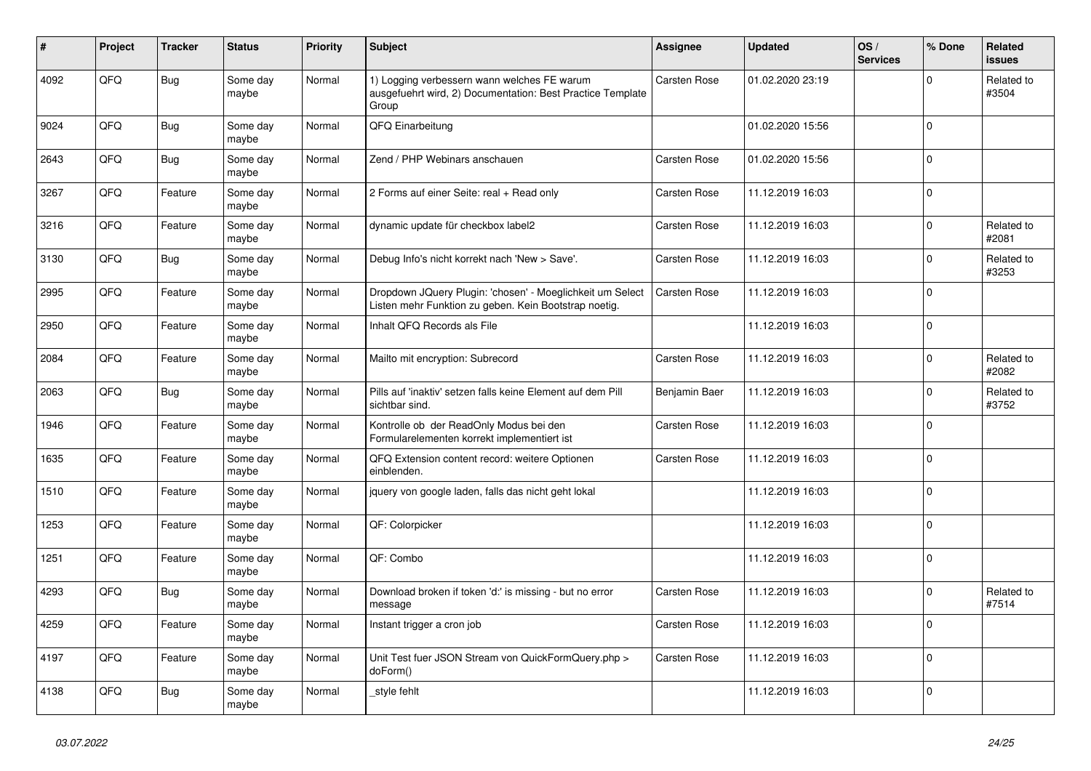| ∦    | Project | <b>Tracker</b> | <b>Status</b>     | <b>Priority</b> | <b>Subject</b>                                                                                                     | <b>Assignee</b>     | <b>Updated</b>   | OS/<br><b>Services</b> | % Done       | Related<br><b>issues</b> |
|------|---------|----------------|-------------------|-----------------|--------------------------------------------------------------------------------------------------------------------|---------------------|------------------|------------------------|--------------|--------------------------|
| 4092 | QFQ     | <b>Bug</b>     | Some day<br>maybe | Normal          | 1) Logging verbessern wann welches FE warum<br>ausgefuehrt wird, 2) Documentation: Best Practice Template<br>Group | <b>Carsten Rose</b> | 01.02.2020 23:19 |                        | $\Omega$     | Related to<br>#3504      |
| 9024 | QFQ     | Bug            | Some day<br>maybe | Normal          | QFQ Einarbeitung                                                                                                   |                     | 01.02.2020 15:56 |                        | $\Omega$     |                          |
| 2643 | QFQ     | <b>Bug</b>     | Some day<br>maybe | Normal          | Zend / PHP Webinars anschauen                                                                                      | <b>Carsten Rose</b> | 01.02.2020 15:56 |                        | $\pmb{0}$    |                          |
| 3267 | QFQ     | Feature        | Some day<br>maybe | Normal          | 2 Forms auf einer Seite: real + Read only                                                                          | Carsten Rose        | 11.12.2019 16:03 |                        | $\mathbf 0$  |                          |
| 3216 | QFQ     | Feature        | Some day<br>maybe | Normal          | dynamic update für checkbox label2                                                                                 | Carsten Rose        | 11.12.2019 16:03 |                        | $\Omega$     | Related to<br>#2081      |
| 3130 | QFQ     | Bug            | Some day<br>maybe | Normal          | Debug Info's nicht korrekt nach 'New > Save'.                                                                      | <b>Carsten Rose</b> | 11.12.2019 16:03 |                        | $\Omega$     | Related to<br>#3253      |
| 2995 | QFQ     | Feature        | Some day<br>maybe | Normal          | Dropdown JQuery Plugin: 'chosen' - Moeglichkeit um Select<br>Listen mehr Funktion zu geben. Kein Bootstrap noetig. | Carsten Rose        | 11.12.2019 16:03 |                        | $\Omega$     |                          |
| 2950 | QFQ     | Feature        | Some day<br>maybe | Normal          | Inhalt QFQ Records als File                                                                                        |                     | 11.12.2019 16:03 |                        | $\mathbf{0}$ |                          |
| 2084 | QFQ     | Feature        | Some day<br>maybe | Normal          | Mailto mit encryption: Subrecord                                                                                   | Carsten Rose        | 11.12.2019 16:03 |                        | $\mathbf{0}$ | Related to<br>#2082      |
| 2063 | QFQ     | <b>Bug</b>     | Some day<br>maybe | Normal          | Pills auf 'inaktiv' setzen falls keine Element auf dem Pill<br>sichtbar sind.                                      | Benjamin Baer       | 11.12.2019 16:03 |                        | $\mathbf 0$  | Related to<br>#3752      |
| 1946 | QFQ     | Feature        | Some day<br>maybe | Normal          | Kontrolle ob der ReadOnly Modus bei den<br>Formularelementen korrekt implementiert ist                             | Carsten Rose        | 11.12.2019 16:03 |                        | 0            |                          |
| 1635 | QFQ     | Feature        | Some day<br>maybe | Normal          | QFQ Extension content record: weitere Optionen<br>einblenden.                                                      | Carsten Rose        | 11.12.2019 16:03 |                        | $\Omega$     |                          |
| 1510 | QFQ     | Feature        | Some day<br>maybe | Normal          | iquery von google laden, falls das nicht geht lokal                                                                |                     | 11.12.2019 16:03 |                        | 0            |                          |
| 1253 | QFQ     | Feature        | Some day<br>maybe | Normal          | QF: Colorpicker                                                                                                    |                     | 11.12.2019 16:03 |                        | $\Omega$     |                          |
| 1251 | QFQ     | Feature        | Some day<br>maybe | Normal          | QF: Combo                                                                                                          |                     | 11.12.2019 16:03 |                        | $\mathbf 0$  |                          |
| 4293 | QFQ     | <b>Bug</b>     | Some day<br>maybe | Normal          | Download broken if token 'd:' is missing - but no error<br>message                                                 | Carsten Rose        | 11.12.2019 16:03 |                        | $\mathbf{0}$ | Related to<br>#7514      |
| 4259 | QFQ     | Feature        | Some day<br>maybe | Normal          | Instant trigger a cron job                                                                                         | <b>Carsten Rose</b> | 11.12.2019 16:03 |                        | $\Omega$     |                          |
| 4197 | QFQ     | Feature        | Some day<br>maybe | Normal          | Unit Test fuer JSON Stream von QuickFormQuery.php ><br>doForm()                                                    | Carsten Rose        | 11.12.2019 16:03 |                        | $\mathbf 0$  |                          |
| 4138 | QFQ     | Bug            | Some day<br>maybe | Normal          | style fehlt                                                                                                        |                     | 11.12.2019 16:03 |                        | 0            |                          |